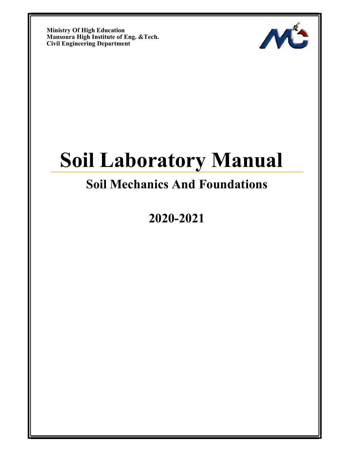Ministry Of High Education Mansoura High Institute of Eng. &Tech. Civil Engineering Department



# Soil Laboratory Manual

## Soil Mechanics And Foundations

2020-2021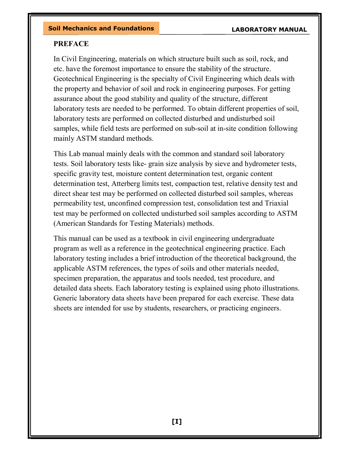#### **PREFACE**

In Civil Engineering, materials on which structure built such as soil, rock, and etc. have the foremost importance to ensure the stability of the structure. Geotechnical Engineering is the specialty of Civil Engineering which deals with the property and behavior of soil and rock in engineering purposes. For getting assurance about the good stability and quality of the structure, different laboratory tests are needed to be performed. To obtain different properties of soil, laboratory tests are performed on collected disturbed and undisturbed soil samples, while field tests are performed on sub-soil at in-site condition following mainly ASTM standard methods.

This Lab manual mainly deals with the common and standard soil laboratory tests. Soil laboratory tests like- grain size analysis by sieve and hydrometer tests, specific gravity test, moisture content determination test, organic content determination test, Atterberg limits test, compaction test, relative density test and direct shear test may be performed on collected disturbed soil samples, whereas permeability test, unconfined compression test, consolidation test and Triaxial test may be performed on collected undisturbed soil samples according to ASTM (American Standards for Testing Materials) methods.

This manual can be used as a textbook in civil engineering undergraduate program as well as a reference in the geotechnical engineering practice. Each laboratory testing includes a brief introduction of the theoretical background, the applicable ASTM references, the types of soils and other materials needed, specimen preparation, the apparatus and tools needed, test procedure, and detailed data sheets. Each laboratory testing is explained using photo illustrations. Generic laboratory data sheets have been prepared for each exercise. These data sheets are intended for use by students, researchers, or practicing engineers.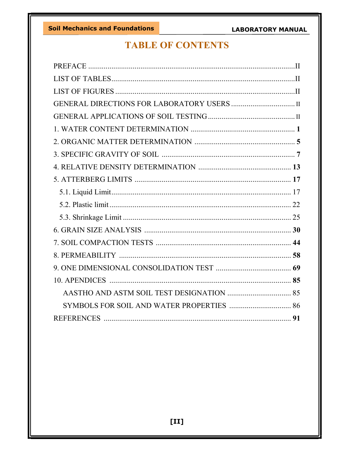### **TABLE OF CONTENTS**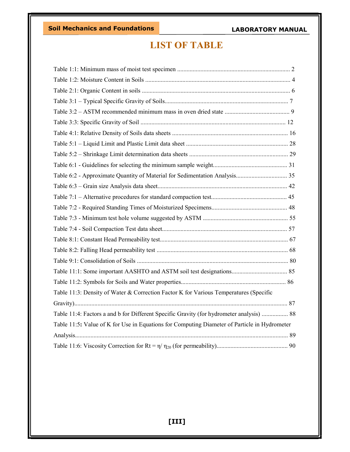Soil Mechanics and Foundations

#### LABORATORY MANUAL

### LIST OF TABLE

| Table 11:3: Density of Water & Correction Factor K for Various Temperatures (Specific        |  |
|----------------------------------------------------------------------------------------------|--|
|                                                                                              |  |
| Table 11:4: Factors a and b for Different Specific Gravity (for hydrometer analysis)  88     |  |
| Table 11:5: Value of K for Use in Equations for Computing Diameter of Particle in Hydrometer |  |
|                                                                                              |  |
|                                                                                              |  |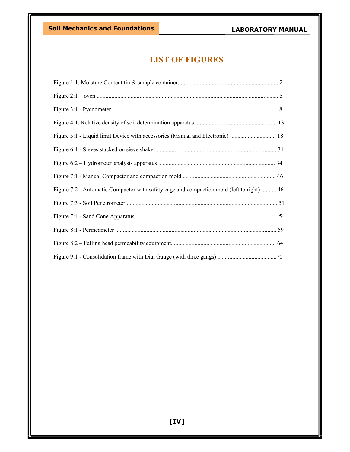### LIST OF FIGURES

| Figure 7:2 - Automatic Compactor with safety cage and compaction mold (left to right)  46 |  |
|-------------------------------------------------------------------------------------------|--|
|                                                                                           |  |
|                                                                                           |  |
|                                                                                           |  |
|                                                                                           |  |
|                                                                                           |  |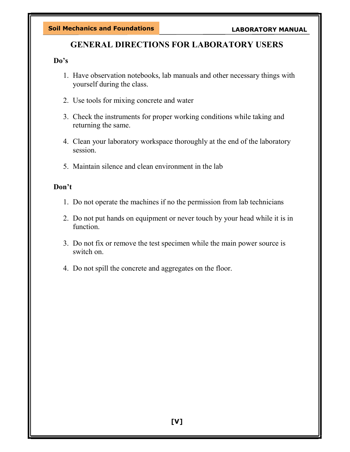### GENERAL DIRECTIONS FOR LABORATORY USERS

#### Do's

- 1. Have observation notebooks, lab manuals and other necessary things with yourself during the class.
- 2. Use tools for mixing concrete and water
- 3. Check the instruments for proper working conditions while taking and returning the same.
- 4. Clean your laboratory workspace thoroughly at the end of the laboratory session.
- 5. Maintain silence and clean environment in the lab

#### Don't

- 1. Do not operate the machines if no the permission from lab technicians
- 2. Do not put hands on equipment or never touch by your head while it is in function.
- 3. Do not fix or remove the test specimen while the main power source is switch on.
- 4. Do not spill the concrete and aggregates on the floor.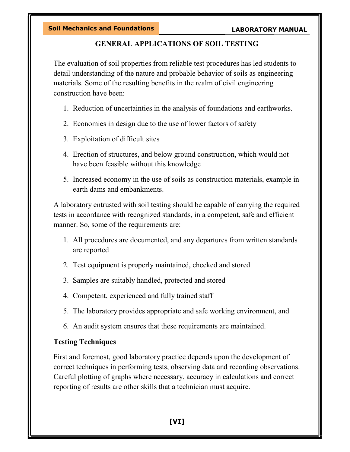#### GENERAL APPLICATIONS OF SOIL TESTING

The evaluation of soil properties from reliable test procedures has led students to detail understanding of the nature and probable behavior of soils as engineering materials. Some of the resulting benefits in the realm of civil engineering construction have been:

- 1. Reduction of uncertainties in the analysis of foundations and earthworks.
- 2. Economies in design due to the use of lower factors of safety
- 3. Exploitation of difficult sites
- 4. Erection of structures, and below ground construction, which would not have been feasible without this knowledge
- 5. Increased economy in the use of soils as construction materials, example in earth dams and embankments.

A laboratory entrusted with soil testing should be capable of carrying the required tests in accordance with recognized standards, in a competent, safe and efficient manner. So, some of the requirements are:

- 1. All procedures are documented, and any departures from written standards are reported
- 2. Test equipment is properly maintained, checked and stored
- 3. Samples are suitably handled, protected and stored
- 4. Competent, experienced and fully trained staff
- 5. The laboratory provides appropriate and safe working environment, and
- 6. An audit system ensures that these requirements are maintained.

#### Testing Techniques

First and foremost, good laboratory practice depends upon the development of correct techniques in performing tests, observing data and recording observations. Careful plotting of graphs where necessary, accuracy in calculations and correct reporting of results are other skills that a technician must acquire.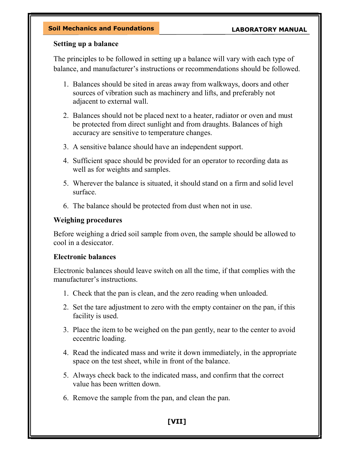#### Setting up a balance

The principles to be followed in setting up a balance will vary with each type of balance, and manufacturer's instructions or recommendations should be followed.

- 1. Balances should be sited in areas away from walkways, doors and other sources of vibration such as machinery and lifts, and preferably not adjacent to external wall.
- 2. Balances should not be placed next to a heater, radiator or oven and must be protected from direct sunlight and from draughts. Balances of high accuracy are sensitive to temperature changes.
- 3. A sensitive balance should have an independent support.
- 4. Sufficient space should be provided for an operator to recording data as well as for weights and samples.
- 5. Wherever the balance is situated, it should stand on a firm and solid level surface.
- 6. The balance should be protected from dust when not in use.

#### Weighing procedures

Before weighing a dried soil sample from oven, the sample should be allowed to cool in a desiccator.

#### Electronic balances

Electronic balances should leave switch on all the time, if that complies with the manufacturer's instructions.

- 1. Check that the pan is clean, and the zero reading when unloaded.
- 2. Set the tare adjustment to zero with the empty container on the pan, if this facility is used.
- 3. Place the item to be weighed on the pan gently, near to the center to avoid eccentric loading.
- 4. Read the indicated mass and write it down immediately, in the appropriate space on the test sheet, while in front of the balance.
- 5. Always check back to the indicated mass, and confirm that the correct value has been written down.
- 6. Remove the sample from the pan, and clean the pan.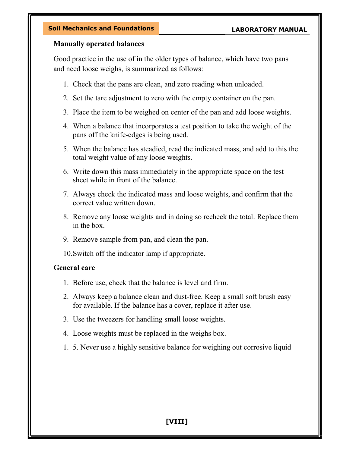#### Manually operated balances

Good practice in the use of in the older types of balance, which have two pans and need loose weighs, is summarized as follows:

- 1. Check that the pans are clean, and zero reading when unloaded.
- 2. Set the tare adjustment to zero with the empty container on the pan.
- 3. Place the item to be weighed on center of the pan and add loose weights.
- 4. When a balance that incorporates a test position to take the weight of the pans off the knife-edges is being used.
- 5. When the balance has steadied, read the indicated mass, and add to this the total weight value of any loose weights.
- 6. Write down this mass immediately in the appropriate space on the test sheet while in front of the balance.
- 7. Always check the indicated mass and loose weights, and confirm that the correct value written down.
- 8. Remove any loose weights and in doing so recheck the total. Replace them in the box.
- 9. Remove sample from pan, and clean the pan.
- 10.Switch off the indicator lamp if appropriate.

#### General care

- 1. Before use, check that the balance is level and firm.
- 2. Always keep a balance clean and dust-free. Keep a small soft brush easy for available. If the balance has a cover, replace it after use.
- 3. Use the tweezers for handling small loose weights.
- 4. Loose weights must be replaced in the weighs box.
- 1. 5. Never use a highly sensitive balance for weighing out corrosive liquid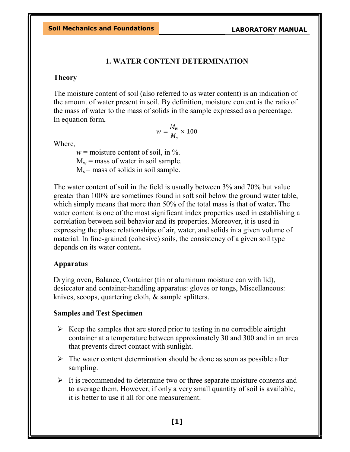#### 1. WATER CONTENT DETERMINATION

#### Theory

The moisture content of soil (also referred to as water content) is an indication of the amount of water present in soil. By definition, moisture content is the ratio of the mass of water to the mass of solids in the sample expressed as a percentage. In equation form,

$$
w = \frac{M_w}{M_s} \times 100
$$

Where,

 $w =$  moisture content of soil, in %.  $M_w$  = mass of water in soil sample.  $M_s$  = mass of solids in soil sample.

The water content of soil in the field is usually between 3% and 70% but value greater than 100% are sometimes found in soft soil below the ground water table, which simply means that more than 50% of the total mass is that of water. The water content is one of the most significant index properties used in establishing a correlation between soil behavior and its properties. Moreover, it is used in expressing the phase relationships of air, water, and solids in a given volume of material. In fine-grained (cohesive) soils, the consistency of a given soil type depends on its water content.

#### Apparatus

Drying oven, Balance, Container (tin or aluminum moisture can with lid), desiccator and container-handling apparatus: gloves or tongs, Miscellaneous: knives, scoops, quartering cloth, & sample splitters.

#### Samples and Test Specimen

- $\triangleright$  Keep the samples that are stored prior to testing in no corrodible airtight container at a temperature between approximately 30 and 300 and in an area that prevents direct contact with sunlight.
- $\triangleright$  The water content determination should be done as soon as possible after sampling.
- $\triangleright$  It is recommended to determine two or three separate moisture contents and to average them. However, if only a very small quantity of soil is available, it is better to use it all for one measurement.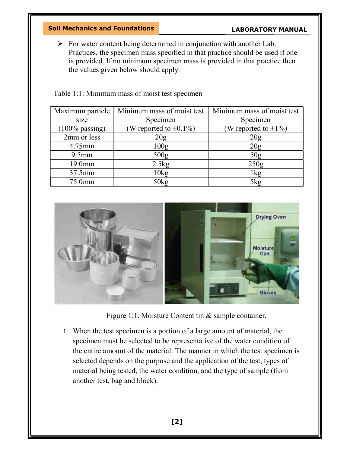#### Soil Mechanics and Foundations

#### LABORATORY MANUAL

 $\triangleright$  For water content being determined in conjunction with another Lab. Practices, the specimen mass specified in that practice should be used if one is provided. If no minimum specimen mass is provided in that practice then the values given below should apply.

| Maximum particle  | Minimum mass of moist test   | Minimum mass of moist test |
|-------------------|------------------------------|----------------------------|
| size              | Specimen                     | Specimen                   |
| $(100\%$ passing) | (W reported to $\pm 0.1\%$ ) | (W reported to $\pm 1\%$ ) |
| 2mm or less       | 20g                          | 20 <sub>g</sub>            |
| 4.75mm            | 100 <sub>g</sub>             | 20g                        |
| $9.5$ mm          | 500 <sub>g</sub>             | 50 <sub>g</sub>            |
| 19.0mm            | 2.5kg                        | 250g                       |
| 37.5mm            | 10kg                         | 1kg                        |
| 75.0mm            | 50kg                         | 5kg                        |

Table 1:1: Minimum mass of moist test specimen



Figure 1:1. Moisture Content tin & sample container.

1. When the test specimen is a portion of a large amount of material, the specimen must be selected to be representative of the water condition of the entire amount of the material. The manner in which the test specimen is selected depends on the purpose and the application of the test, types of material being tested, the water condition, and the type of sample (from another test, bag and block).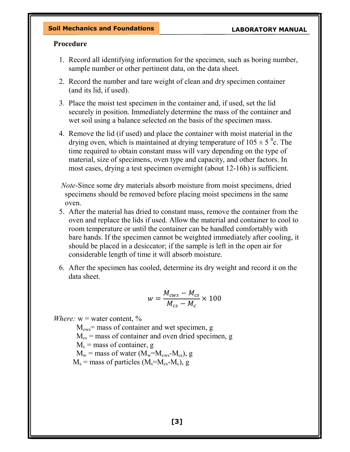#### Procedure

- 1. Record all identifying information for the specimen, such as boring number, sample number or other pertinent data, on the data sheet.
- 2. Record the number and tare weight of clean and dry specimen container (and its lid, if used).
- 3. Place the moist test specimen in the container and, if used, set the lid securely in position. Immediately determine the mass of the container and wet soil using a balance selected on the basis of the specimen mass.
- 4. Remove the lid (if used) and place the container with moist material in the drying oven, which is maintained at drying temperature of  $105 \pm 5$  °c. The time required to obtain constant mass will vary depending on the type of material, size of specimens, oven type and capacity, and other factors. In most cases, drying a test specimen overnight (about 12-16h) is sufficient.

Note-Since some dry materials absorb moisture from moist specimens, dried specimens should be removed before placing moist specimens in the same oven.

- 5. After the material has dried to constant mass, remove the container from the oven and replace the lids if used. Allow the material and container to cool to room temperature or until the container can be handled comfortably with bare hands. If the specimen cannot be weighted immediately after cooling, it should be placed in a desiccator; if the sample is left in the open air for considerable length of time it will absorb moisture.
- 6. After the specimen has cooled, determine its dry weight and record it on the data sheet.

$$
w = \frac{M_{cws} - M_{cs}}{M_{cs} - M_c} \times 100
$$

*Where:*  $w =$  water content,  $\%$ 

 $M_{\text{cws}}$  = mass of container and wet specimen, g  $M_{cs}$  = mass of container and oven dried specimen, g  $M_c$  = mass of container, g  $M_w$  = mass of water ( $M_w$ = $M_{cws}$ - $M_{cs}$ ), g  $M_s$  = mass of particles ( $M_s$ = $M_{cs}$ - $M_c$ ), g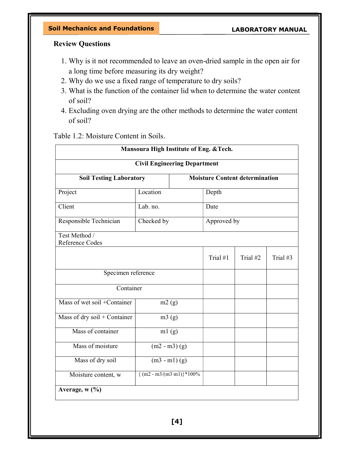#### Review Questions

- 1. Why is it not recommended to leave an oven-dried sample in the open air for a long time before measuring its dry weight?
- 2. Why do we use a fixed range of temperature to dry soils?
- 3. What is the function of the container lid when to determine the water content of soil?
- 4. Excluding oven drying are the other methods to determine the water content of soil?

Table 1.2: Moisture Content in Soils.

| Mansoura High Institute of Eng. & Tech.                                 |                               |            |          |          |  |  |  |
|-------------------------------------------------------------------------|-------------------------------|------------|----------|----------|--|--|--|
| <b>Civil Engineering Department</b>                                     |                               |            |          |          |  |  |  |
| <b>Soil Testing Laboratory</b><br><b>Moisture Content determination</b> |                               |            |          |          |  |  |  |
| Project                                                                 | Location                      | Depth      |          |          |  |  |  |
| Client                                                                  | Lab. no.<br>Date              |            |          |          |  |  |  |
| Responsible Technician                                                  | Checked by<br>Approved by     |            |          |          |  |  |  |
| Test Method /<br>Reference Codes                                        |                               |            |          |          |  |  |  |
|                                                                         |                               | Trial $#1$ | Trial #2 | Trial #3 |  |  |  |
| Specimen reference                                                      |                               |            |          |          |  |  |  |
| Container                                                               |                               |            |          |          |  |  |  |
| Mass of wet soil +Container                                             | m2(g)                         |            |          |          |  |  |  |
| Mass of dry soil + Container                                            | m3(g)                         |            |          |          |  |  |  |
| Mass of container                                                       | ml(g)                         |            |          |          |  |  |  |
| Mass of moisture<br>$(m2 - m3)$ (g)                                     |                               |            |          |          |  |  |  |
| Mass of dry soil<br>$(m3 - m1)$ (g)                                     |                               |            |          |          |  |  |  |
| Moisture content, w                                                     | ${(m2 - m3/(m3 m1)) * 100\%}$ |            |          |          |  |  |  |
| Average, w (%)                                                          |                               |            |          |          |  |  |  |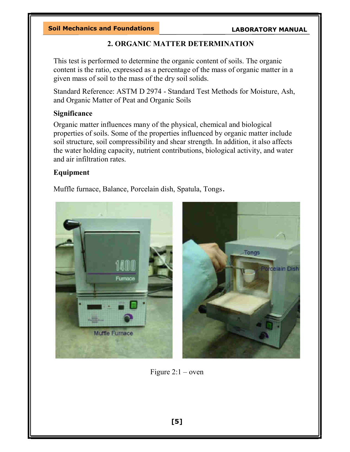#### 2. ORGANIC MATTER DETERMINATION

This test is performed to determine the organic content of soils. The organic content is the ratio, expressed as a percentage of the mass of organic matter in a given mass of soil to the mass of the dry soil solids.

Standard Reference: ASTM D 2974 - Standard Test Methods for Moisture, Ash, and Organic Matter of Peat and Organic Soils

#### Significance

Organic matter influences many of the physical, chemical and biological properties of soils. Some of the properties influenced by organic matter include soil structure, soil compressibility and shear strength. In addition, it also affects the water holding capacity, nutrient contributions, biological activity, and water and air infiltration rates.

#### Equipment

Muffle furnace, Balance, Porcelain dish, Spatula, Tongs.



Figure  $2:1$  – oven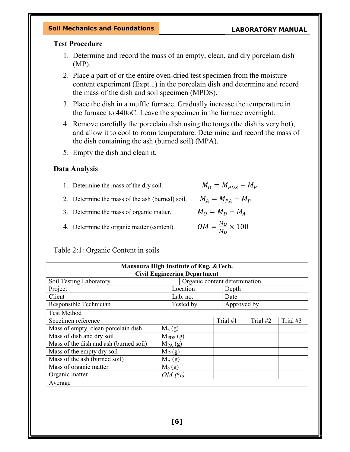#### Test Procedure

- 1. Determine and record the mass of an empty, clean, and dry porcelain dish (MP).
- 2. Place a part of or the entire oven-dried test specimen from the moisture content experiment (Expt.1) in the porcelain dish and determine and record the mass of the dish and soil specimen (MPDS).
- 3. Place the dish in a muffle furnace. Gradually increase the temperature in the furnace to 440oC. Leave the specimen in the furnace overnight.
- 4. Remove carefully the porcelain dish using the tongs (the dish is very hot), and allow it to cool to room temperature. Determine and record the mass of the dish containing the ash (burned soil) (MPA).
- 5. Empty the dish and clean it.

#### Data Analysis

- 1. Determine the mass of the dry soil.
- 2. Determine the mass of the ash (burned) soil.  $\mathcal{N}$
- 3. Determine the mass of organic matter.  $M_O = M_D M_A$
- 4. Determine the organic matter (content).

#### Table 2:1: Organic Content in soils

| Mansoura High Institute of Eng. & Tech. |              |                               |  |             |          |            |
|-----------------------------------------|--------------|-------------------------------|--|-------------|----------|------------|
| <b>Civil Engineering Department</b>     |              |                               |  |             |          |            |
| Soil Testing Laboratory                 |              | Organic content determination |  |             |          |            |
| Project                                 |              | Location                      |  | Depth       |          |            |
| Client                                  |              | Lab. no.                      |  | Date        |          |            |
| Responsible Technician                  |              | Tested by                     |  | Approved by |          |            |
| <b>Test Method</b>                      |              |                               |  |             |          |            |
| Specimen reference                      |              |                               |  | Trial #1    | Trial #2 | Trial $#3$ |
| Mass of empty, clean porcelain dish     | $M_p(g)$     |                               |  |             |          |            |
| Mass of dish and dry soil               | $M_{PDS}(g)$ |                               |  |             |          |            |
| Mass of the dish and ash (burned soil)  | $M_{PA}$ (g) |                               |  |             |          |            |
| Mass of the empty dry soil              | $M_D(g)$     |                               |  |             |          |            |
| Mass of the ash (burned soil)           | $M_A(g)$     |                               |  |             |          |            |
| Mass of organic matter                  | $M_{o}(g)$   |                               |  |             |          |            |
| Organic matter                          | OM(%)        |                               |  |             |          |            |
| Average                                 |              |                               |  |             |          |            |

$$
M_D = M_{PDS} - M_l
$$

$$
M_A = M_{PA} - M_P
$$

$$
OM = \frac{M_O}{M_D} \times 100
$$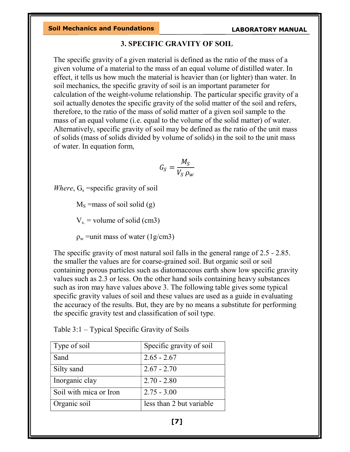#### 3. SPECIFIC GRAVITY OF SOIL

The specific gravity of a given material is defined as the ratio of the mass of a given volume of a material to the mass of an equal volume of distilled water. In effect, it tells us how much the material is heavier than (or lighter) than water. In soil mechanics, the specific gravity of soil is an important parameter for calculation of the weight-volume relationship. The particular specific gravity of a soil actually denotes the specific gravity of the solid matter of the soil and refers, therefore, to the ratio of the mass of solid matter of a given soil sample to the mass of an equal volume (i.e. equal to the volume of the solid matter) of water. Alternatively, specific gravity of soil may be defined as the ratio of the unit mass of solids (mass of solids divided by volume of solids) in the soil to the unit mass of water. In equation form,

$$
G_S = \frac{M_S}{V_S \, \rho_w}
$$

*Where*,  $G_s$  =specific gravity of soil

 $M<sub>S</sub>$  =mass of soil solid (g)

 $V_s$  = volume of solid (cm3)

 $\rho_w$  =unit mass of water (1g/cm3)

The specific gravity of most natural soil falls in the general range of 2.5 - 2.85. the smaller the values are for coarse-grained soil. But organic soil or soil containing porous particles such as diatomaceous earth show low specific gravity values such as 2.3 or less. On the other hand soils containing heavy substances such as iron may have values above 3. The following table gives some typical specific gravity values of soil and these values are used as a guide in evaluating the accuracy of the results. But, they are by no means a substitute for performing the specific gravity test and classification of soil type.

| Type of soil           | Specific gravity of soil |
|------------------------|--------------------------|
| Sand                   | $2.65 - 2.67$            |
| Silty sand             | $2.67 - 2.70$            |
| Inorganic clay         | $2.70 - 2.80$            |
| Soil with mica or Iron | $2.75 - 3.00$            |
| Organic soil           | less than 2 but variable |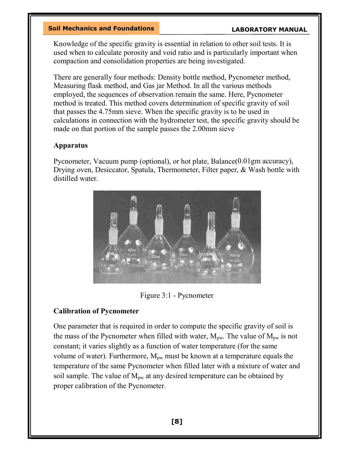Knowledge of the specific gravity is essential in relation to other soil tests. It is used when to calculate porosity and void ratio and is particularly important when compaction and consolidation properties are being investigated.

There are generally four methods: Density bottle method, Pycnometer method, Measuring flask method, and Gas jar Method. In all the various methods employed, the sequences of observation remain the same. Here, Pycnometer method is treated. This method covers determination of specific gravity of soil that passes the 4.75mm sieve. When the specific gravity is to be used in calculations in connection with the hydrometer test, the specific gravity should be made on that portion of the sample passes the 2.00mm sieve

#### Apparatus

Pycnometer, Vacuum pump (optional), or hot plate, Balance(0.01gm accuracy), Drying oven, Desiccator, Spatula, Thermometer, Filter paper, & Wash bottle with distilled water.



Figure 3:1 - Pycnometer

#### Calibration of Pycnometer

One parameter that is required in order to compute the specific gravity of soil is the mass of the Pycnometer when filled with water,  $M_{\text{pw}}$ . The value of  $M_{\text{pw}}$  is not constant; it varies slightly as a function of water temperature (for the same volume of water). Furthermore,  $M_{\text{pw}}$  must be known at a temperature equals the temperature of the same Pycnometer when filled later with a mixture of water and soil sample. The value of  $M_{\text{pw}}$  at any desired temperature can be obtained by proper calibration of the Pycnometer.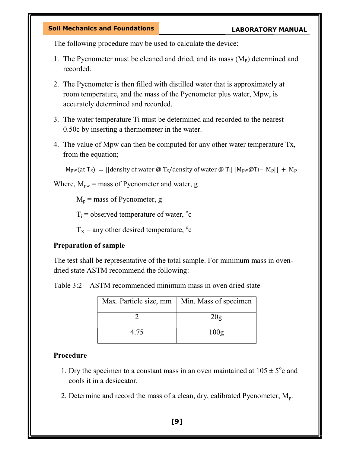The following procedure may be used to calculate the device:

- 1. The Pycnometer must be cleaned and dried, and its mass  $(M<sub>P</sub>)$  determined and recorded.
- 2. The Pycnometer is then filled with distilled water that is approximately at room temperature, and the mass of the Pycnometer plus water, Mpw, is accurately determined and recorded.
- 3. The water temperature Ti must be determined and recorded to the nearest 0.50c by inserting a thermometer in the water.
- 4. The value of Mpw can then be computed for any other water temperature Tx, from the equation;

```
M_{\text{pw}}(\text{at }T_x) = [\text{density of water } @ T_x / \text{density of water } @ T_i] [ M_{\text{pw}}@T_i - M_p]] + M_p
```
Where,  $M_{\text{pw}}$  = mass of Pycnometer and water, g

 $M_p$  = mass of Pycnometer, g

 $T_i$  = observed temperature of water,  $\degree$ c

 $T_X$  = any other desired temperature,  $\degree$ c

#### Preparation of sample

The test shall be representative of the total sample. For minimum mass in ovendried state ASTM recommend the following:

Table 3:2 – ASTM recommended minimum mass in oven dried state

| Max. Particle size, mm | Min. Mass of specimen |
|------------------------|-----------------------|
|                        | 20g                   |
| 4.75                   | 100g                  |

#### Procedure

- 1. Dry the specimen to a constant mass in an oven maintained at  $105 \pm 5^{\circ}$ c and cools it in a desiccator.
- 2. Determine and record the mass of a clean, dry, calibrated Pycnometer,  $M_p$ .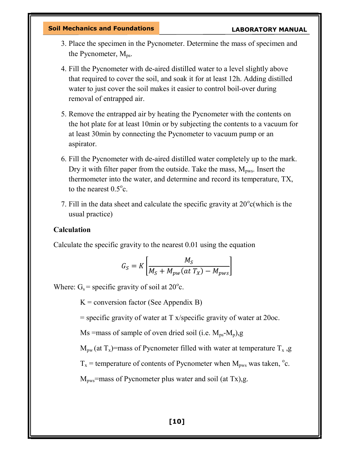- 3. Place the specimen in the Pycnometer. Determine the mass of specimen and the Pycnometer,  $M_{\text{ns}}$ .
- 4. Fill the Pycnometer with de-aired distilled water to a level slightly above that required to cover the soil, and soak it for at least 12h. Adding distilled water to just cover the soil makes it easier to control boil-over during removal of entrapped air.
- 5. Remove the entrapped air by heating the Pycnometer with the contents on the hot plate for at least 10min or by subjecting the contents to a vacuum for at least 30min by connecting the Pycnometer to vacuum pump or an aspirator.
- 6. Fill the Pycnometer with de-aired distilled water completely up to the mark. Dry it with filter paper from the outside. Take the mass,  $M_{\text{pws}}$ . Insert the thermometer into the water, and determine and record its temperature, TX, to the nearest  $0.5^{\circ}$ c.
- 7. Fill in the data sheet and calculate the specific gravity at  $20^{\circ}$ c(which is the usual practice)

#### Calculation

Calculate the specific gravity to the nearest 0.01 using the equation

$$
G_S = K \left[ \frac{M_S}{M_S + M_{pw}(at\ T_X) - M_{pws}} \right]
$$

Where:  $G_s$  = specific gravity of soil at 20 $^{\circ}$ c.

 $K =$  conversion factor (See Appendix B)

 $=$  specific gravity of water at T x/specific gravity of water at 20 $\alpha$ .

Ms =mass of sample of oven dried soil (i.e.  $M_{ps}$ - $M_p$ ),g

 $M_{\text{nw}}$  (at  $T_x$ )=mass of Pycnometer filled with water at temperature  $T_x$ , g

 $T_x$  = temperature of contents of Pycnometer when  $M_{\text{pws}}$  was taken,  $^{\circ}$ c.

 $M<sub>pws</sub>$ =mass of Pycnometer plus water and soil (at Tx),g.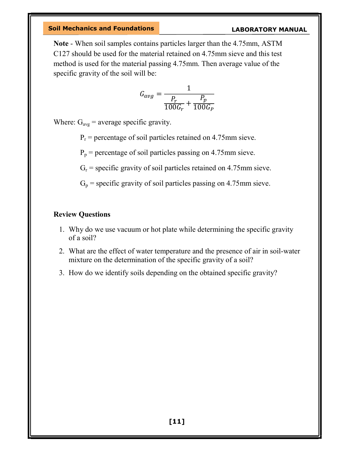Note - When soil samples contains particles larger than the 4.75mm, ASTM C127 should be used for the material retained on 4.75mm sieve and this test method is used for the material passing 4.75mm. Then average value of the specific gravity of the soil will be:

$$
G_{avg} = \frac{1}{\frac{P_r}{100G_r} + \frac{P_p}{100G_p}}
$$

Where:  $G_{avg}$  = average specific gravity.

 $P_r$  = percentage of soil particles retained on 4.75mm sieve.

 $P_p$  = percentage of soil particles passing on 4.75mm sieve.

 $G_r$  = specific gravity of soil particles retained on 4.75mm sieve.

 $G_p$  = specific gravity of soil particles passing on 4.75mm sieve.

#### Review Questions

- 1. Why do we use vacuum or hot plate while determining the specific gravity of a soil?
- 2. What are the effect of water temperature and the presence of air in soil-water mixture on the determination of the specific gravity of a soil?
- 3. How do we identify soils depending on the obtained specific gravity?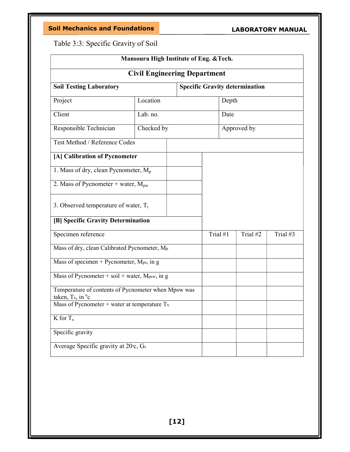Table 3:3: Specific Gravity of Soil

| Mansoura High Institute of Eng. & Tech.                                                      |            |  |          |             |          |  |
|----------------------------------------------------------------------------------------------|------------|--|----------|-------------|----------|--|
| <b>Civil Engineering Department</b>                                                          |            |  |          |             |          |  |
| <b>Soil Testing Laboratory</b><br><b>Specific Gravity determination</b>                      |            |  |          |             |          |  |
| Project                                                                                      | Location   |  | Depth    |             |          |  |
| Client                                                                                       | Lab. no.   |  | Date     |             |          |  |
| Responsible Technician                                                                       | Checked by |  |          | Approved by |          |  |
| Test Method / Reference Codes                                                                |            |  |          |             |          |  |
| [A] Calibration of Pycnometer                                                                |            |  |          |             |          |  |
| 1. Mass of dry, clean Pycnometer, $M_p$                                                      |            |  |          |             |          |  |
| 2. Mass of Pycnometer + water, $M_{\text{pw}}$                                               |            |  |          |             |          |  |
| 3. Observed temperature of water, $T_i$                                                      |            |  |          |             |          |  |
| [B] Specific Gravity Determination                                                           |            |  |          |             |          |  |
| Specimen reference                                                                           |            |  | Trial #1 | Trial #2    | Trial #3 |  |
| Mass of dry, clean Calibrated Pycnometer, Mp                                                 |            |  |          |             |          |  |
| Mass of specimen + Pycnometer, $M_{ps}$ , in g                                               |            |  |          |             |          |  |
| Mass of Pycnometer + soil + water, $M_{psw}$ , in g                                          |            |  |          |             |          |  |
| Temperature of contents of Pycnometer when Mpsw was<br>taken, $Tx$ , in $\mathrm{^{\circ}c}$ |            |  |          |             |          |  |
| Mass of Pycnometer + water at temperature $Tx$                                               |            |  |          |             |          |  |
| $K$ for $T_x$                                                                                |            |  |          |             |          |  |
| Specific gravity                                                                             |            |  |          |             |          |  |
| Average Specific gravity at 20 <sup>°</sup> c, G <sub>s</sub>                                |            |  |          |             |          |  |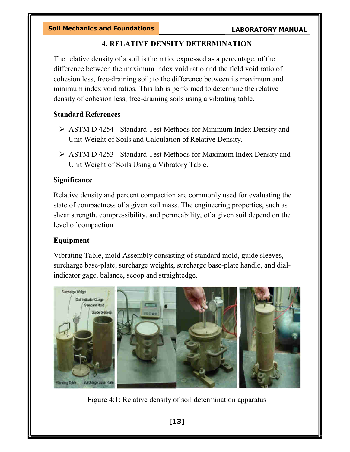#### 4. RELATIVE DENSITY DETERMINATION

The relative density of a soil is the ratio, expressed as a percentage, of the difference between the maximum index void ratio and the field void ratio of cohesion less, free-draining soil; to the difference between its maximum and minimum index void ratios. This lab is performed to determine the relative density of cohesion less, free-draining soils using a vibrating table.

#### Standard References

- ASTM D 4254 Standard Test Methods for Minimum Index Density and Unit Weight of Soils and Calculation of Relative Density.
- ASTM D 4253 Standard Test Methods for Maximum Index Density and Unit Weight of Soils Using a Vibratory Table.

#### Significance

Relative density and percent compaction are commonly used for evaluating the state of compactness of a given soil mass. The engineering properties, such as shear strength, compressibility, and permeability, of a given soil depend on the level of compaction.

#### Equipment

Vibrating Table, mold Assembly consisting of standard mold, guide sleeves, surcharge base-plate, surcharge weights, surcharge base-plate handle, and dialindicator gage, balance, scoop and straightedge.



Figure 4:1: Relative density of soil determination apparatus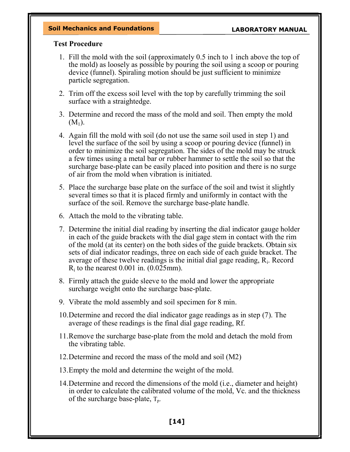#### Test Procedure

- 1. Fill the mold with the soil (approximately 0.5 inch to 1 inch above the top of the mold) as loosely as possible by pouring the soil using a scoop or pouring device (funnel). Spiraling motion should be just sufficient to minimize particle segregation.
- 2. Trim off the excess soil level with the top by carefully trimming the soil surface with a straightedge.
- 3. Determine and record the mass of the mold and soil. Then empty the mold  $(M_1)$ .
- 4. Again fill the mold with soil (do not use the same soil used in step 1) and level the surface of the soil by using a scoop or pouring device (funnel) in order to minimize the soil segregation. The sides of the mold may be struck a few times using a metal bar or rubber hammer to settle the soil so that the surcharge base-plate can be easily placed into position and there is no surge of air from the mold when vibration is initiated.
- 5. Place the surcharge base plate on the surface of the soil and twist it slightly several times so that it is placed firmly and uniformly in contact with the surface of the soil. Remove the surcharge base-plate handle.
- 6. Attach the mold to the vibrating table.
- 7. Determine the initial dial reading by inserting the dial indicator gauge holder in each of the guide brackets with the dial gage stem in contact with the rim of the mold (at its center) on the both sides of the guide brackets. Obtain six sets of dial indicator readings, three on each side of each guide bracket. The average of these twelve readings is the initial dial gage reading,  $R_i$ . Record  $R_i$  to the nearest 0.001 in. (0.025mm).
- 8. Firmly attach the guide sleeve to the mold and lower the appropriate surcharge weight onto the surcharge base-plate.
- 9. Vibrate the mold assembly and soil specimen for 8 min.
- 10.Determine and record the dial indicator gage readings as in step (7). The average of these readings is the final dial gage reading, Rf.
- 11.Remove the surcharge base-plate from the mold and detach the mold from the vibrating table.
- 12.Determine and record the mass of the mold and soil (M2)
- 13.Empty the mold and determine the weight of the mold.
- 14.Determine and record the dimensions of the mold (i.e., diameter and height) in order to calculate the calibrated volume of the mold, Vc. and the thickness of the surcharge base-plate,  $T_{p}$ .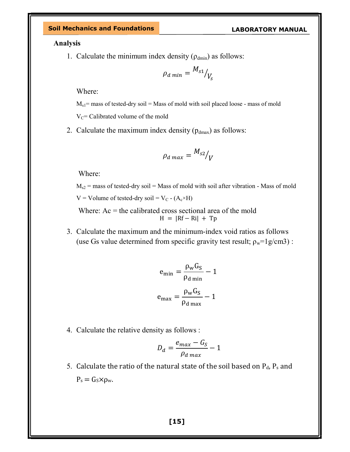Analysis

1. Calculate the minimum index density  $(\rho_{\text{dmin}})$  as follows:

$$
\rho_{d \ min} = \frac{M_{s1}}{V_s}
$$

Where:

 $M_{s1}$  = mass of tested-dry soil = Mass of mold with soil placed loose - mass of mold

 $V<sub>C</sub>=$  Calibrated volume of the mold

2. Calculate the maximum index density  $(p_{dmax})$  as follows:

$$
\rho_{d \max} = \frac{M_{s2}}{V}
$$

Where:

 $M_{s2}$  = mass of tested-dry soil = Mass of mold with soil after vibration - Mass of mold  $V =$  Volume of tested-dry soil =  $V_C$  - (A<sub>c</sub>×H)

Where:  $Ac =$  the calibrated cross sectional area of the mold  $H = |Rf - Ri| + Tp$ 

3. Calculate the maximum and the minimum-index void ratios as follows (use Gs value determined from specific gravity test result;  $\rho_w = 1g/cm3$ ):

$$
e_{\min} = \frac{\rho_w G_S}{\rho_{d \min}} - 1
$$

$$
e_{\max} = \frac{\rho_w G_S}{\rho_{d \max}} - 1
$$

4. Calculate the relative density as follows :

$$
D_d = \frac{e_{max} - G_S}{\rho_{d max}} - 1
$$

5. Calculate the ratio of the natural state of the soil based on  $P_d$ ,  $P_s$  and  $P_s = G_s \times \rho_w$ .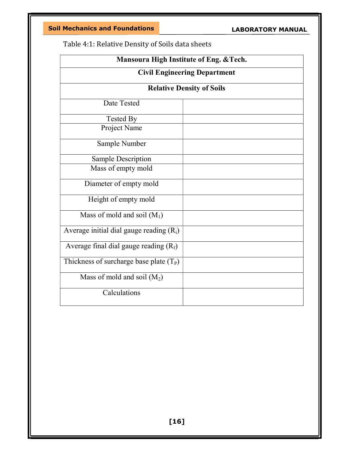Soil Mechanics and Foundations

LABORATORY MANUAL

Table 4:1: Relative Density of Soils data sheets

| Mansoura High Institute of Eng. & Tech.    |                                  |  |  |  |
|--------------------------------------------|----------------------------------|--|--|--|
| <b>Civil Engineering Department</b>        |                                  |  |  |  |
|                                            | <b>Relative Density of Soils</b> |  |  |  |
| Date Tested                                |                                  |  |  |  |
| <b>Tested By</b>                           |                                  |  |  |  |
| Project Name                               |                                  |  |  |  |
| Sample Number                              |                                  |  |  |  |
| <b>Sample Description</b>                  |                                  |  |  |  |
| Mass of empty mold                         |                                  |  |  |  |
| Diameter of empty mold                     |                                  |  |  |  |
| Height of empty mold                       |                                  |  |  |  |
| Mass of mold and soil $(M_1)$              |                                  |  |  |  |
| Average initial dial gauge reading $(R_i)$ |                                  |  |  |  |
| Average final dial gauge reading $(R_f)$   |                                  |  |  |  |
| Thickness of surcharge base plate $(T_P)$  |                                  |  |  |  |
| Mass of mold and soil $(M_2)$              |                                  |  |  |  |
| Calculations                               |                                  |  |  |  |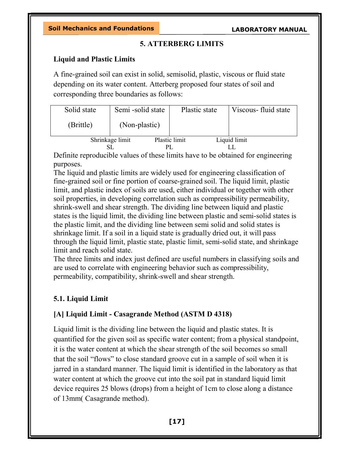### 5. ATTERBERG LIMITS

### Liquid and Plastic Limits

A fine-grained soil can exist in solid, semisolid, plastic, viscous or fluid state depending on its water content. Atterberg proposed four states of soil and corresponding three boundaries as follows:

| Solid state | Semi -solid state | Plastic state | Viscous- fluid state |
|-------------|-------------------|---------------|----------------------|
| (Brittle)   | (Non-plastic)     |               |                      |
|             | Shrinkage limit   | Plastic limit | Liquid limit         |
|             |                   |               |                      |

Definite reproducible values of these limits have to be obtained for engineering purposes.

The liquid and plastic limits are widely used for engineering classification of fine-grained soil or fine portion of coarse-grained soil. The liquid limit, plastic limit, and plastic index of soils are used, either individual or together with other soil properties, in developing correlation such as compressibility permeability, shrink-swell and shear strength. The dividing line between liquid and plastic states is the liquid limit, the dividing line between plastic and semi-solid states is the plastic limit, and the dividing line between semi solid and solid states is shrinkage limit. If a soil in a liquid state is gradually dried out, it will pass through the liquid limit, plastic state, plastic limit, semi-solid state, and shrinkage limit and reach solid state.

The three limits and index just defined are useful numbers in classifying soils and are used to correlate with engineering behavior such as compressibility, permeability, compatibility, shrink-swell and shear strength.

### 5.1. Liquid Limit

### [A] Liquid Limit - Casagrande Method (ASTM D 4318)

Liquid limit is the dividing line between the liquid and plastic states. It is quantified for the given soil as specific water content; from a physical standpoint, it is the water content at which the shear strength of the soil becomes so small that the soil "flows" to close standard groove cut in a sample of soil when it is jarred in a standard manner. The liquid limit is identified in the laboratory as that water content at which the groove cut into the soil pat in standard liquid limit device requires 25 blows (drops) from a height of 1cm to close along a distance of 13mm( Casagrande method).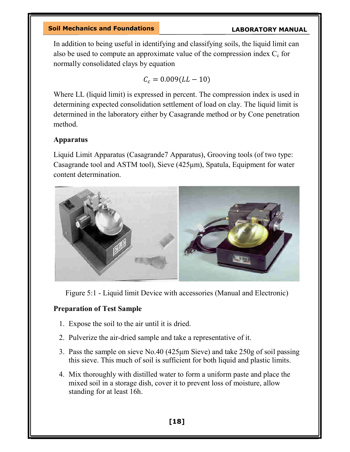In addition to being useful in identifying and classifying soils, the liquid limit can also be used to compute an approximate value of the compression index  $C_c$  for normally consolidated clays by equation

$$
\mathcal{C}_c=0.009 (LL-10)
$$

Where LL (liquid limit) is expressed in percent. The compression index is used in determining expected consolidation settlement of load on clay. The liquid limit is determined in the laboratory either by Casagrande method or by Cone penetration method.

#### Apparatus

Liquid Limit Apparatus (Casagrande7 Apparatus), Grooving tools (of two type: Casagrande tool and ASTM tool), Sieve (425μm), Spatula, Equipment for water content determination.



Figure 5:1 - Liquid limit Device with accessories (Manual and Electronic)

#### Preparation of Test Sample

- 1. Expose the soil to the air until it is dried.
- 2. Pulverize the air-dried sample and take a representative of it.
- 3. Pass the sample on sieve No.40 (425μm Sieve) and take 250g of soil passing this sieve. This much of soil is sufficient for both liquid and plastic limits.
- 4. Mix thoroughly with distilled water to form a uniform paste and place the mixed soil in a storage dish, cover it to prevent loss of moisture, allow standing for at least 16h.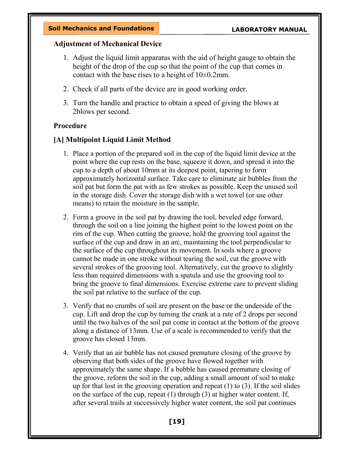#### Adjustment of Mechanical Device

- 1. Adjust the liquid limit apparatus with the aid of height gauge to obtain the height of the drop of the cup so that the point of the cup that comes in contact with the base rises to a height of 10±0.2mm.
- 2. Check if all parts of the device are in good working order.
- 3. Turn the handle and practice to obtain a speed of giving the blows at 2blows per second.

#### Procedure

#### [A] Multipoint Liquid Limit Method

- 1. Place a portion of the prepared soil in the cup of the liquid limit device at the point where the cup rests on the base, squeeze it down, and spread it into the cup to a depth of about 10mm at its deepest point, tapering to form approximately horizontal surface. Take care to eliminate air bubbles from the soil pat but form the pat with as few strokes as possible. Keep the unused soil in the storage dish. Cover the storage dish with a wet towel (or use other means) to retain the moisture in the sample.
- 2. Form a groove in the soil pat by drawing the tool, beveled edge forward, through the soil on a line joining the highest point to the lowest point on the rim of the cup. When cutting the groove, hold the grooving tool against the surface of the cup and draw in an arc, maintaining the tool perpendicular to the surface of the cup throughout its movement. In soils where a groove cannot be made in one stroke without tearing the soil, cut the groove with several strokes of the grooving tool. Alternatively, cut the groove to slightly less than required dimensions with a spatula and use the grooving tool to bring the groove to final dimensions. Exercise extreme care to prevent sliding the soil pat relative to the surface of the cup.
- 3. Verify that no crumbs of soil are present on the base or the underside of the cup. Lift and drop the cup by turning the crank at a rate of 2 drops per second until the two halves of the soil pat come in contact at the bottom of the groove along a distance of 13mm. Use of a scale is recommended to verify that the groove has closed 13mm.
- 4. Verify that an air bubble has not caused premature closing of the groove by observing that both sides of the groove have flowed together with approximately the same shape. If a bubble has caused premature closing of the groove, reform the soil in the cup, adding a small amount of soil to make up for that lost in the grooving operation and repeat (1) to (3). If the soil slides on the surface of the cup, repeat (1) through (3) at higher water content. If, after several trails at successively higher water content, the soil pat continues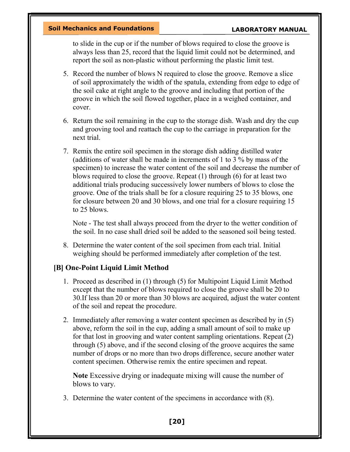to slide in the cup or if the number of blows required to close the groove is always less than 25, record that the liquid limit could not be determined, and report the soil as non-plastic without performing the plastic limit test.

- 5. Record the number of blows N required to close the groove. Remove a slice of soil approximately the width of the spatula, extending from edge to edge of the soil cake at right angle to the groove and including that portion of the groove in which the soil flowed together, place in a weighed container, and cover.
- 6. Return the soil remaining in the cup to the storage dish. Wash and dry the cup and grooving tool and reattach the cup to the carriage in preparation for the next trial.
- 7. Remix the entire soil specimen in the storage dish adding distilled water (additions of water shall be made in increments of 1 to 3 % by mass of the specimen) to increase the water content of the soil and decrease the number of blows required to close the groove. Repeat (1) through (6) for at least two additional trials producing successively lower numbers of blows to close the groove. One of the trials shall be for a closure requiring 25 to 35 blows, one for closure between 20 and 30 blows, and one trial for a closure requiring 15 to 25 blows.

Note - The test shall always proceed from the dryer to the wetter condition of the soil. In no case shall dried soil be added to the seasoned soil being tested.

8. Determine the water content of the soil specimen from each trial. Initial weighing should be performed immediately after completion of the test.

#### [B] One-Point Liquid Limit Method

- 1. Proceed as described in (1) through (5) for Multipoint Liquid Limit Method except that the number of blows required to close the groove shall be 20 to 30.If less than 20 or more than 30 blows are acquired, adjust the water content of the soil and repeat the procedure.
- 2. Immediately after removing a water content specimen as described by in (5) above, reform the soil in the cup, adding a small amount of soil to make up for that lost in grooving and water content sampling orientations. Repeat (2) through (5) above, and if the second closing of the groove acquires the same number of drops or no more than two drops difference, secure another water content specimen. Otherwise remix the entire specimen and repeat.

Note Excessive drying or inadequate mixing will cause the number of blows to vary.

3. Determine the water content of the specimens in accordance with (8).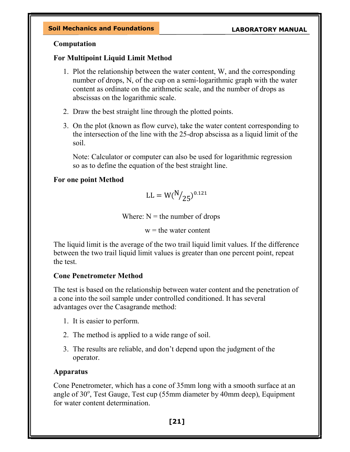#### Computation

#### For Multipoint Liquid Limit Method

- 1. Plot the relationship between the water content, W, and the corresponding number of drops, N, of the cup on a semi-logarithmic graph with the water content as ordinate on the arithmetic scale, and the number of drops as abscissas on the logarithmic scale.
- 2. Draw the best straight line through the plotted points.
- 3. On the plot (known as flow curve), take the water content corresponding to the intersection of the line with the 25-drop abscissa as a liquid limit of the soil.

Note: Calculator or computer can also be used for logarithmic regression so as to define the equation of the best straight line.

### For one point Method

$$
\text{LL} = \text{W}(\text{N}/_{25})^{0.121}
$$

Where:  $N =$  the number of drops

 $w =$  the water content

The liquid limit is the average of the two trail liquid limit values. If the difference between the two trail liquid limit values is greater than one percent point, repeat the test.

#### Cone Penetrometer Method

The test is based on the relationship between water content and the penetration of a cone into the soil sample under controlled conditioned. It has several advantages over the Casagrande method:

- 1. It is easier to perform.
- 2. The method is applied to a wide range of soil.
- 3. The results are reliable, and don't depend upon the judgment of the operator.

### Apparatus

Cone Penetrometer, which has a cone of 35mm long with a smooth surface at an angle of 30°, Test Gauge, Test cup (55mm diameter by 40mm deep), Equipment for water content determination.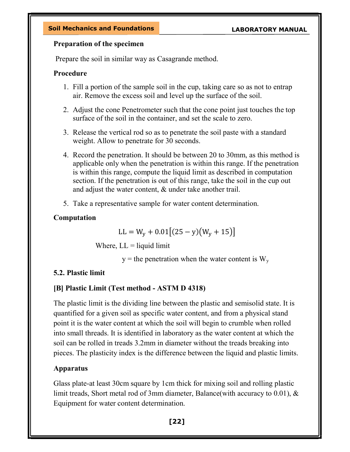#### Preparation of the specimen

Prepare the soil in similar way as Casagrande method.

### Procedure

- 1. Fill a portion of the sample soil in the cup, taking care so as not to entrap air. Remove the excess soil and level up the surface of the soil.
- 2. Adjust the cone Penetrometer such that the cone point just touches the top surface of the soil in the container, and set the scale to zero.
- 3. Release the vertical rod so as to penetrate the soil paste with a standard weight. Allow to penetrate for 30 seconds.
- 4. Record the penetration. It should be between 20 to 30mm, as this method is applicable only when the penetration is within this range. If the penetration is within this range, compute the liquid limit as described in computation section. If the penetration is out of this range, take the soil in the cup out and adjust the water content, & under take another trail.
- 5. Take a representative sample for water content determination.

### Computation

$$
LL = W_y + 0.01[(25 - y)(W_y + 15)]
$$

Where,  $LL = liquid$  limit

 $y =$  the penetration when the water content is  $W_y$ 

### 5.2. Plastic limit

### [B] Plastic Limit (Test method - ASTM D 4318)

The plastic limit is the dividing line between the plastic and semisolid state. It is quantified for a given soil as specific water content, and from a physical stand point it is the water content at which the soil will begin to crumble when rolled into small threads. It is identified in laboratory as the water content at which the soil can be rolled in treads 3.2mm in diameter without the treads breaking into pieces. The plasticity index is the difference between the liquid and plastic limits.

### Apparatus

Glass plate-at least 30cm square by 1cm thick for mixing soil and rolling plastic limit treads, Short metal rod of 3mm diameter, Balance(with accuracy to 0.01), & Equipment for water content determination.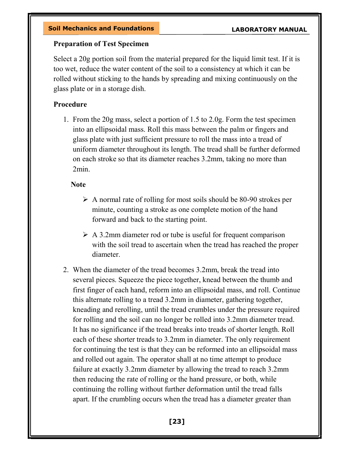#### Preparation of Test Specimen

Select a 20g portion soil from the material prepared for the liquid limit test. If it is too wet, reduce the water content of the soil to a consistency at which it can be rolled without sticking to the hands by spreading and mixing continuously on the glass plate or in a storage dish.

#### Procedure

1. From the 20g mass, select a portion of 1.5 to 2.0g. Form the test specimen into an ellipsoidal mass. Roll this mass between the palm or fingers and glass plate with just sufficient pressure to roll the mass into a tread of uniform diameter throughout its length. The tread shall be further deformed on each stroke so that its diameter reaches 3.2mm, taking no more than 2min.

#### **Note**

- $\triangleright$  A normal rate of rolling for most soils should be 80-90 strokes per minute, counting a stroke as one complete motion of the hand forward and back to the starting point.
- $\triangleright$  A 3.2mm diameter rod or tube is useful for frequent comparison with the soil tread to ascertain when the tread has reached the proper diameter.
- 2. When the diameter of the tread becomes 3.2mm, break the tread into several pieces. Squeeze the piece together, knead between the thumb and first finger of each hand, reform into an ellipsoidal mass, and roll. Continue this alternate rolling to a tread 3.2mm in diameter, gathering together, kneading and rerolling, until the tread crumbles under the pressure required for rolling and the soil can no longer be rolled into 3.2mm diameter tread. It has no significance if the tread breaks into treads of shorter length. Roll each of these shorter treads to 3.2mm in diameter. The only requirement for continuing the test is that they can be reformed into an ellipsoidal mass and rolled out again. The operator shall at no time attempt to produce failure at exactly 3.2mm diameter by allowing the tread to reach 3.2mm then reducing the rate of rolling or the hand pressure, or both, while continuing the rolling without further deformation until the tread falls apart. If the crumbling occurs when the tread has a diameter greater than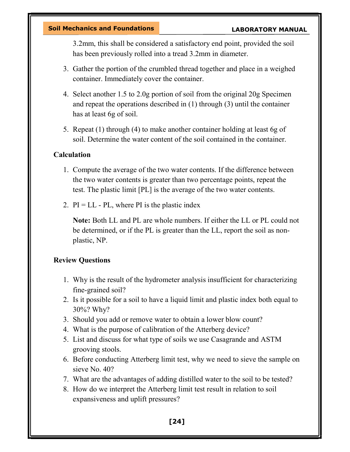3.2mm, this shall be considered a satisfactory end point, provided the soil has been previously rolled into a tread 3.2mm in diameter.

- 3. Gather the portion of the crumbled thread together and place in a weighed container. Immediately cover the container.
- 4. Select another 1.5 to 2.0g portion of soil from the original 20g Specimen and repeat the operations described in (1) through (3) until the container has at least 6g of soil.
- 5. Repeat (1) through (4) to make another container holding at least 6g of soil. Determine the water content of the soil contained in the container.

#### **Calculation**

- 1. Compute the average of the two water contents. If the difference between the two water contents is greater than two percentage points, repeat the test. The plastic limit [PL] is the average of the two water contents.
- 2.  $PI = LL PL$ , where PI is the plastic index

Note: Both LL and PL are whole numbers. If either the LL or PL could not be determined, or if the PL is greater than the LL, report the soil as nonplastic, NP.

#### Review Questions

- 1. Why is the result of the hydrometer analysis insufficient for characterizing fine-grained soil?
- 2. Is it possible for a soil to have a liquid limit and plastic index both equal to 30%? Why?
- 3. Should you add or remove water to obtain a lower blow count?
- 4. What is the purpose of calibration of the Atterberg device?
- 5. List and discuss for what type of soils we use Casagrande and ASTM grooving stools.
- 6. Before conducting Atterberg limit test, why we need to sieve the sample on sieve No. 40?
- 7. What are the advantages of adding distilled water to the soil to be tested?
- 8. How do we interpret the Atterberg limit test result in relation to soil expansiveness and uplift pressures?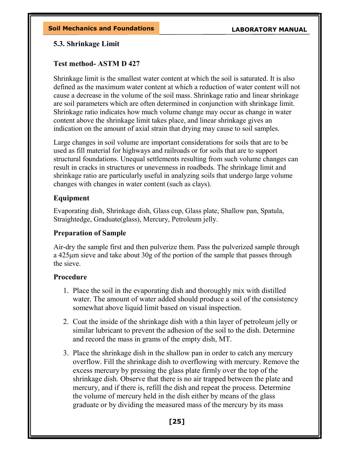#### 5.3. Shrinkage Limit

#### Test method- ASTM D 427

Shrinkage limit is the smallest water content at which the soil is saturated. It is also defined as the maximum water content at which a reduction of water content will not cause a decrease in the volume of the soil mass. Shrinkage ratio and linear shrinkage are soil parameters which are often determined in conjunction with shrinkage limit. Shrinkage ratio indicates how much volume change may occur as change in water content above the shrinkage limit takes place, and linear shrinkage gives an indication on the amount of axial strain that drying may cause to soil samples.

Large changes in soil volume are important considerations for soils that are to be used as fill material for highways and railroads or for soils that are to support structural foundations. Unequal settlements resulting from such volume changes can result in cracks in structures or unevenness in roadbeds. The shrinkage limit and shrinkage ratio are particularly useful in analyzing soils that undergo large volume changes with changes in water content (such as clays).

#### Equipment

Evaporating dish, Shrinkage dish, Glass cup, Glass plate, Shallow pan, Spatula, Straightedge, Graduate(glass), Mercury, Petroleum jelly.

#### Preparation of Sample

Air-dry the sample first and then pulverize them. Pass the pulverized sample through a 425μm sieve and take about 30g of the portion of the sample that passes through the sieve.

#### Procedure

- 1. Place the soil in the evaporating dish and thoroughly mix with distilled water. The amount of water added should produce a soil of the consistency somewhat above liquid limit based on visual inspection.
- 2. Coat the inside of the shrinkage dish with a thin layer of petroleum jelly or similar lubricant to prevent the adhesion of the soil to the dish. Determine and record the mass in grams of the empty dish, MT.
- 3. Place the shrinkage dish in the shallow pan in order to catch any mercury overflow. Fill the shrinkage dish to overflowing with mercury. Remove the excess mercury by pressing the glass plate firmly over the top of the shrinkage dish. Observe that there is no air trapped between the plate and mercury, and if there is, refill the dish and repeat the process. Determine the volume of mercury held in the dish either by means of the glass graduate or by dividing the measured mass of the mercury by its mass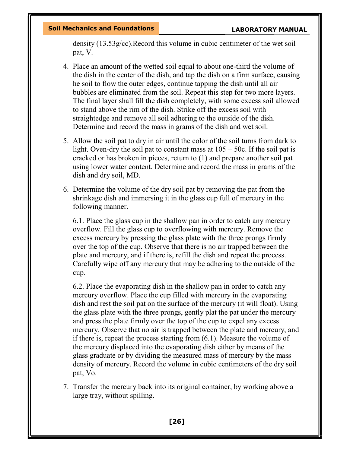density (13.53g/cc).Record this volume in cubic centimeter of the wet soil pat, V.

- 4. Place an amount of the wetted soil equal to about one-third the volume of the dish in the center of the dish, and tap the dish on a firm surface, causing he soil to flow the outer edges, continue tapping the dish until all air bubbles are eliminated from the soil. Repeat this step for two more layers. The final layer shall fill the dish completely, with some excess soil allowed to stand above the rim of the dish. Strike off the excess soil with straightedge and remove all soil adhering to the outside of the dish. Determine and record the mass in grams of the dish and wet soil.
- 5. Allow the soil pat to dry in air until the color of the soil turns from dark to light. Oven-dry the soil pat to constant mass at  $105 + 50c$ . If the soil pat is cracked or has broken in pieces, return to (1) and prepare another soil pat using lower water content. Determine and record the mass in grams of the dish and dry soil, MD.
- 6. Determine the volume of the dry soil pat by removing the pat from the shrinkage dish and immersing it in the glass cup full of mercury in the following manner.

6.1. Place the glass cup in the shallow pan in order to catch any mercury overflow. Fill the glass cup to overflowing with mercury. Remove the excess mercury by pressing the glass plate with the three prongs firmly over the top of the cup. Observe that there is no air trapped between the plate and mercury, and if there is, refill the dish and repeat the process. Carefully wipe off any mercury that may be adhering to the outside of the cup.

6.2. Place the evaporating dish in the shallow pan in order to catch any mercury overflow. Place the cup filled with mercury in the evaporating dish and rest the soil pat on the surface of the mercury (it will float). Using the glass plate with the three prongs, gently plat the pat under the mercury and press the plate firmly over the top of the cup to expel any excess mercury. Observe that no air is trapped between the plate and mercury, and if there is, repeat the process starting from (6.1). Measure the volume of the mercury displaced into the evaporating dish either by means of the glass graduate or by dividing the measured mass of mercury by the mass density of mercury. Record the volume in cubic centimeters of the dry soil pat, Vo.

7. Transfer the mercury back into its original container, by working above a large tray, without spilling.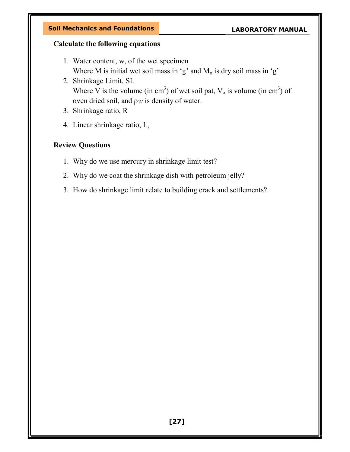#### Calculate the following equations

- 1. Water content, w, of the wet specimen Where M is initial wet soil mass in 'g' and  $M_0$  is dry soil mass in 'g'
- 2. Shrinkage Limit, SL Where V is the volume (in cm<sup>3</sup>) of wet soil pat,  $V_0$  is volume (in cm<sup>3</sup>) of oven dried soil, and ρw is density of water.
- 3. Shrinkage ratio, R
- 4. Linear shrinkage ratio,  $L_s$

### Review Questions

- 1. Why do we use mercury in shrinkage limit test?
- 2. Why do we coat the shrinkage dish with petroleum jelly?
- 3. How do shrinkage limit relate to building crack and settlements?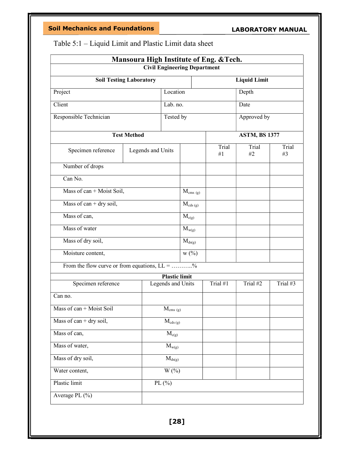### Soil Mechanics and Foundations

### LABORATORY MANUAL

| Mansoura High Institute of Eng. & Tech.         |                     |                      |                                     |                            |          |             |  |  |
|-------------------------------------------------|---------------------|----------------------|-------------------------------------|----------------------------|----------|-------------|--|--|
|                                                 |                     |                      | <b>Civil Engineering Department</b> |                            |          |             |  |  |
| <b>Soil Testing Laboratory</b>                  | <b>Liquid Limit</b> |                      |                                     |                            |          |             |  |  |
| Location<br>Project                             |                     |                      | Depth                               |                            |          |             |  |  |
| Client                                          |                     | Lab. no.             |                                     |                            | Date     |             |  |  |
| Responsible Technician                          |                     | Tested by            |                                     |                            |          | Approved by |  |  |
|                                                 | <b>Test Method</b>  |                      | <b>ASTM, BS 1377</b>                |                            |          |             |  |  |
| Specimen reference                              | Legends and Units   |                      |                                     | Trial<br>Trial<br>#1<br>#2 |          | Trial<br>#3 |  |  |
| Number of drops                                 |                     |                      |                                     |                            |          |             |  |  |
| Can No.                                         |                     |                      |                                     |                            |          |             |  |  |
| Mass of can + Moist Soil,                       |                     |                      | $M_{\rm cms(g)}$                    |                            |          |             |  |  |
| Mass of can + dry soil,                         |                     |                      | $M_{\text{cds (g)}}$                |                            |          |             |  |  |
| Mass of can,                                    |                     |                      | $M_{c(g)}$                          |                            |          |             |  |  |
| Mass of water                                   |                     |                      | $M_{w(g)}$                          |                            |          |             |  |  |
| Mass of dry soil,                               |                     |                      | $M_{ds(g)}$                         |                            |          |             |  |  |
| Moisture content,                               |                     |                      | $W0\rangle$                         |                            |          |             |  |  |
| From the flow curve or from equations, $LL =$ % |                     |                      |                                     |                            |          |             |  |  |
|                                                 |                     | <b>Plastic limit</b> |                                     |                            |          |             |  |  |
| Specimen reference                              |                     | Legends and Units    |                                     | Trial $#1$                 | Trial #2 | Trial #3    |  |  |
| Can no.                                         |                     |                      |                                     |                            |          |             |  |  |
| Mass of $can + Moist$ Soil                      |                     | $M_{\text{cms (g)}}$ |                                     |                            |          |             |  |  |
| Mass of can + dry soil,                         |                     | $M_{\text{cds (g)}}$ |                                     |                            |          |             |  |  |
| Mass of can,<br>$M_{c(g)}$                      |                     |                      |                                     |                            |          |             |  |  |
| Mass of water,<br>$M_{w(g)}$                    |                     |                      |                                     |                            |          |             |  |  |
| Mass of dry soil,<br>$M_{ds(g)}$                |                     |                      |                                     |                            |          |             |  |  |
| $\overline{W(\%)}$<br>Water content,            |                     |                      |                                     |                            |          |             |  |  |
| PL(%)<br>Plastic limit                          |                     |                      |                                     |                            |          |             |  |  |
| Average PL $(\% )$                              |                     |                      |                                     |                            |          |             |  |  |
|                                                 |                     |                      |                                     |                            |          |             |  |  |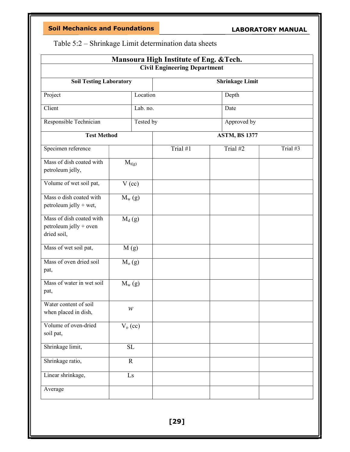Table 5:2 – Shrinkage Limit determination data sheets

| Mansoura High Institute of Eng. & Tech.                           |                          |           |          |  |                      |          |  |  |
|-------------------------------------------------------------------|--------------------------|-----------|----------|--|----------------------|----------|--|--|
| <b>Civil Engineering Department</b>                               |                          |           |          |  |                      |          |  |  |
| <b>Soil Testing Laboratory</b><br><b>Shrinkage Limit</b>          |                          |           |          |  |                      |          |  |  |
| Project                                                           |                          | Location  |          |  | Depth                |          |  |  |
| Client                                                            |                          | Lab. no.  |          |  | Date                 |          |  |  |
| Responsible Technician                                            |                          | Tested by |          |  | Approved by          |          |  |  |
| <b>Test Method</b>                                                |                          |           |          |  | <b>ASTM, BS 1377</b> |          |  |  |
| Specimen reference                                                |                          |           | Trial #1 |  | Trial #2             | Trial #3 |  |  |
| Mass of dish coated with<br>petroleum jelly,                      | $M_{t(g)}$               |           |          |  |                      |          |  |  |
| Volume of wet soil pat,                                           | $V$ (cc)                 |           |          |  |                      |          |  |  |
| Mass o dish coated with<br>petroleum jelly + wet,                 | $M_{w}$ (g)              |           |          |  |                      |          |  |  |
| Mass of dish coated with<br>petroleum jelly + oven<br>dried soil, | $M_d(g)$                 |           |          |  |                      |          |  |  |
| Mass of wet soil pat,                                             | M(g)                     |           |          |  |                      |          |  |  |
| Mass of oven dried soil<br>pat,                                   | M <sub>o</sub> (g)       |           |          |  |                      |          |  |  |
| Mass of water in wet soil<br>pat,                                 | $M_{w}$ (g)              |           |          |  |                      |          |  |  |
| Water content of soil<br>when placed in dish,                     | W                        |           |          |  |                      |          |  |  |
| Volume of oven-dried<br>soil pat,                                 | $V_0$ (cc)               |           |          |  |                      |          |  |  |
| Shrinkage limit,                                                  | SL                       |           |          |  |                      |          |  |  |
| Shrinkage ratio,                                                  | $\mathbf R$              |           |          |  |                      |          |  |  |
| Linear shrinkage,                                                 | $\mathop{\hbox{\rm Ls}}$ |           |          |  |                      |          |  |  |
| Average                                                           |                          |           |          |  |                      |          |  |  |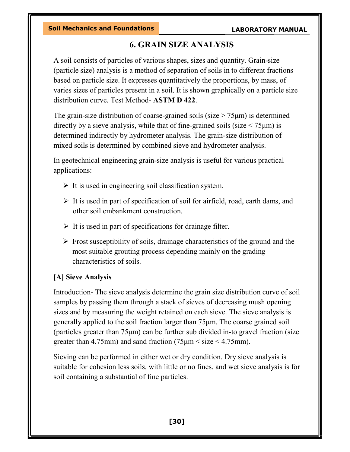# 6. GRAIN SIZE ANALYSIS

A soil consists of particles of various shapes, sizes and quantity. Grain-size (particle size) analysis is a method of separation of soils in to different fractions based on particle size. It expresses quantitatively the proportions, by mass, of varies sizes of particles present in a soil. It is shown graphically on a particle size distribution curve. Test Method- ASTM D 422.

The grain-size distribution of coarse-grained soils (size  $> 75 \mu m$ ) is determined directly by a sieve analysis, while that of fine-grained soils (size  $\leq 75 \mu m$ ) is determined indirectly by hydrometer analysis. The grain-size distribution of mixed soils is determined by combined sieve and hydrometer analysis.

In geotechnical engineering grain-size analysis is useful for various practical applications:

- $\triangleright$  It is used in engineering soil classification system.
- $\triangleright$  It is used in part of specification of soil for airfield, road, earth dams, and other soil embankment construction.
- $\triangleright$  It is used in part of specifications for drainage filter.
- $\triangleright$  Frost susceptibility of soils, drainage characteristics of the ground and the most suitable grouting process depending mainly on the grading characteristics of soils.

# [A] Sieve Analysis

Introduction- The sieve analysis determine the grain size distribution curve of soil samples by passing them through a stack of sieves of decreasing mush opening sizes and by measuring the weight retained on each sieve. The sieve analysis is generally applied to the soil fraction larger than 75μm. The coarse grained soil (particles greater than 75μm) can be further sub divided in-to gravel fraction (size greater than 4.75mm) and sand fraction  $(75 \mu m \leq size \leq 4.75 mm)$ .

Sieving can be performed in either wet or dry condition. Dry sieve analysis is suitable for cohesion less soils, with little or no fines, and wet sieve analysis is for soil containing a substantial of fine particles.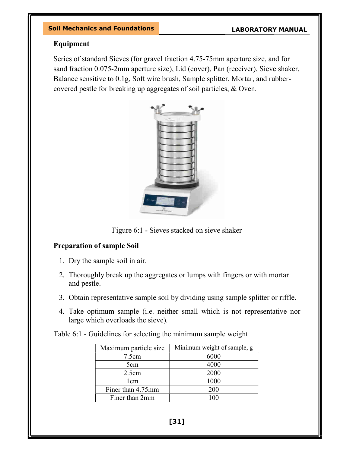### Equipment

Series of standard Sieves (for gravel fraction 4.75-75mm aperture size, and for sand fraction 0.075-2mm aperture size), Lid (cover), Pan (receiver), Sieve shaker, Balance sensitive to 0.1g, Soft wire brush, Sample splitter, Mortar, and rubbercovered pestle for breaking up aggregates of soil particles, & Oven.



Figure 6:1 - Sieves stacked on sieve shaker

### Preparation of sample Soil

- 1. Dry the sample soil in air.
- 2. Thoroughly break up the aggregates or lumps with fingers or with mortar and pestle.
- 3. Obtain representative sample soil by dividing using sample splitter or riffle.
- 4. Take optimum sample (i.e. neither small which is not representative nor large which overloads the sieve).

Table 6:1 - Guidelines for selecting the minimum sample weight

| Maximum particle size | Minimum weight of sample, g |
|-----------------------|-----------------------------|
| 7.5cm                 | 6000                        |
| 5cm                   | 4000                        |
| 2.5cm                 | 2000                        |
| 1cm                   | 1000                        |
| Finer than 4.75mm     | 200                         |
| Finer than 2mm        | 100                         |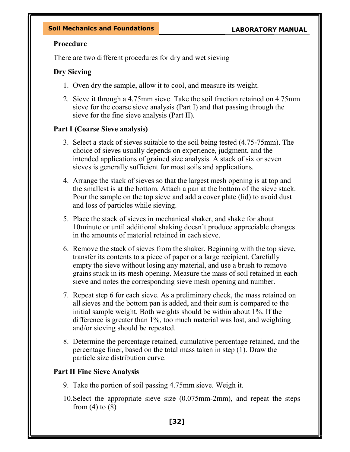### Procedure

There are two different procedures for dry and wet sieving

# Dry Sieving

- 1. Oven dry the sample, allow it to cool, and measure its weight.
- 2. Sieve it through a 4.75mm sieve. Take the soil fraction retained on 4.75mm sieve for the coarse sieve analysis (Part I) and that passing through the sieve for the fine sieve analysis (Part II).

# Part I (Coarse Sieve analysis)

- 3. Select a stack of sieves suitable to the soil being tested (4.75-75mm). The choice of sieves usually depends on experience, judgment, and the intended applications of grained size analysis. A stack of six or seven sieves is generally sufficient for most soils and applications.
- 4. Arrange the stack of sieves so that the largest mesh opening is at top and the smallest is at the bottom. Attach a pan at the bottom of the sieve stack. Pour the sample on the top sieve and add a cover plate (lid) to avoid dust and loss of particles while sieving.
- 5. Place the stack of sieves in mechanical shaker, and shake for about 10minute or until additional shaking doesn't produce appreciable changes in the amounts of material retained in each sieve.
- 6. Remove the stack of sieves from the shaker. Beginning with the top sieve, transfer its contents to a piece of paper or a large recipient. Carefully empty the sieve without losing any material, and use a brush to remove grains stuck in its mesh opening. Measure the mass of soil retained in each sieve and notes the corresponding sieve mesh opening and number.
- 7. Repeat step 6 for each sieve. As a preliminary check, the mass retained on all sieves and the bottom pan is added, and their sum is compared to the initial sample weight. Both weights should be within about 1%. If the difference is greater than 1%, too much material was lost, and weighting and/or sieving should be repeated.
- 8. Determine the percentage retained, cumulative percentage retained, and the percentage finer, based on the total mass taken in step (1). Draw the particle size distribution curve.

# Part II Fine Sieve Analysis

- 9. Take the portion of soil passing 4.75mm sieve. Weigh it.
- 10.Select the appropriate sieve size (0.075mm-2mm), and repeat the steps from  $(4)$  to  $(8)$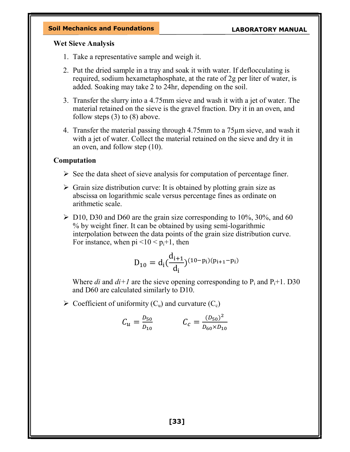### Wet Sieve Analysis

- 1. Take a representative sample and weigh it.
- 2. Put the dried sample in a tray and soak it with water. If deflocculating is required, sodium hexametaphosphate, at the rate of 2g per liter of water, is added. Soaking may take 2 to 24hr, depending on the soil.
- 3. Transfer the slurry into a 4.75mm sieve and wash it with a jet of water. The material retained on the sieve is the gravel fraction. Dry it in an oven, and follow steps (3) to (8) above.
- 4. Transfer the material passing through 4.75mm to a 75μm sieve, and wash it with a jet of water. Collect the material retained on the sieve and dry it in an oven, and follow step (10).

## Computation

- $\triangleright$  See the data sheet of sieve analysis for computation of percentage finer.
- $\triangleright$  Grain size distribution curve: It is obtained by plotting grain size as abscissa on logarithmic scale versus percentage fines as ordinate on arithmetic scale.
- $\triangleright$  D10, D30 and D60 are the grain size corresponding to 10%, 30%, and 60 % by weight finer. It can be obtained by using semi-logarithmic interpolation between the data points of the grain size distribution curve. For instance, when  $pi < 10 < p_i+1$ , then

$$
D_{10} = d_i \left(\frac{d_{i+1}}{d_i}\right)^{(10-p_i)(p_{i+1}-p_i)}
$$

Where *di* and  $di+1$  are the sieve opening corresponding to  $P_i$  and  $P_i+1$ . D30 and D60 are calculated similarly to D10.

 $\triangleright$  Coefficient of uniformity (C<sub>u</sub>) and curvature (C<sub>c</sub>)

$$
C_u = \frac{D_{50}}{D_{10}} \qquad \qquad C_c = \frac{(D_{50})^2}{D_{60} \times D_{10}}
$$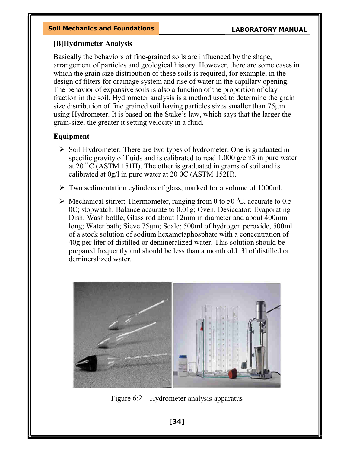## [B]Hydrometer Analysis

Basically the behaviors of fine-grained soils are influenced by the shape, arrangement of particles and geological history. However, there are some cases in which the grain size distribution of these soils is required, for example, in the design of filters for drainage system and rise of water in the capillary opening. The behavior of expansive soils is also a function of the proportion of clay fraction in the soil. Hydrometer analysis is a method used to determine the grain size distribution of fine grained soil having particles sizes smaller than 75μm using Hydrometer. It is based on the Stake's law, which says that the larger the grain-size, the greater it setting velocity in a fluid.

# Equipment

- $\triangleright$  Soil Hydrometer: There are two types of hydrometer. One is graduated in specific gravity of fluids and is calibrated to read 1.000 g/cm3 in pure water at 20  $\mathrm{^0C}$  (ASTM 151H). The other is graduated in grams of soil and is calibrated at 0g/l in pure water at 20 0C (ASTM 152H).
- Two sedimentation cylinders of glass, marked for a volume of 1000ml.
- $\triangleright$  Mechanical stirrer; Thermometer, ranging from 0 to 50 °C, accurate to 0.5 0C; stopwatch; Balance accurate to 0.01g; Oven; Desiccator; Evaporating Dish; Wash bottle; Glass rod about 12mm in diameter and about 400mm long; Water bath; Sieve 75μm; Scale; 500ml of hydrogen peroxide, 500ml of a stock solution of sodium hexametaphosphate with a concentration of 40g per liter of distilled or demineralized water. This solution should be prepared frequently and should be less than a month old: 3l of distilled or demineralized water.



Figure 6:2 – Hydrometer analysis apparatus

[34]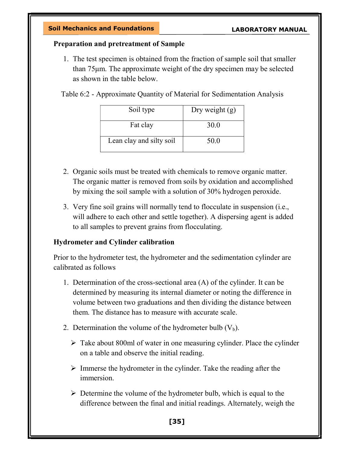## Preparation and pretreatment of Sample

1. The test specimen is obtained from the fraction of sample soil that smaller than 75μm. The approximate weight of the dry specimen may be selected as shown in the table below.

Table 6:2 - Approximate Quantity of Material for Sedimentation Analysis

| Soil type                | Dry weight $(g)$ |
|--------------------------|------------------|
| Fat clay                 | 30.0             |
| Lean clay and silty soil | 50.0             |

- 2. Organic soils must be treated with chemicals to remove organic matter. The organic matter is removed from soils by oxidation and accomplished by mixing the soil sample with a solution of 30% hydrogen peroxide.
- 3. Very fine soil grains will normally tend to flocculate in suspension (i.e., will adhere to each other and settle together). A dispersing agent is added to all samples to prevent grains from flocculating.

# Hydrometer and Cylinder calibration

Prior to the hydrometer test, the hydrometer and the sedimentation cylinder are calibrated as follows

- 1. Determination of the cross-sectional area (A) of the cylinder. It can be determined by measuring its internal diameter or noting the difference in volume between two graduations and then dividing the distance between them. The distance has to measure with accurate scale.
- 2. Determination the volume of the hydrometer bulb  $(V_b)$ .
	- $\triangleright$  Take about 800ml of water in one measuring cylinder. Place the cylinder on a table and observe the initial reading.
	- $\triangleright$  Immerse the hydrometer in the cylinder. Take the reading after the immersion.
	- $\triangleright$  Determine the volume of the hydrometer bulb, which is equal to the difference between the final and initial readings. Alternately, weigh the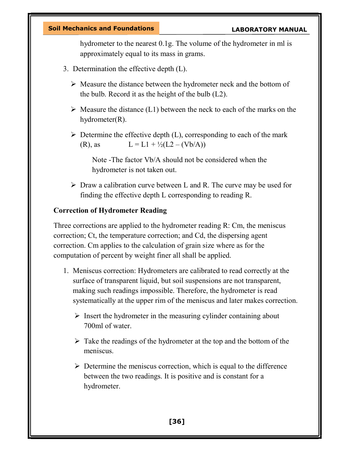hydrometer to the nearest 0.1g. The volume of the hydrometer in ml is approximately equal to its mass in grams.

- 3. Determination the effective depth (L).
	- $\triangleright$  Measure the distance between the hydrometer neck and the bottom of the bulb. Record it as the height of the bulb (L2).
	- $\triangleright$  Measure the distance (L1) between the neck to each of the marks on the hydrometer(R).
	- $\triangleright$  Determine the effective depth (L), corresponding to each of the mark (R), as  $L = L1 + \frac{1}{2}(L2 - (Vb/A))$

Note -The factor Vb/A should not be considered when the hydrometer is not taken out.

 $\triangleright$  Draw a calibration curve between L and R. The curve may be used for finding the effective depth L corresponding to reading R.

## Correction of Hydrometer Reading

Three corrections are applied to the hydrometer reading R: Cm, the meniscus correction; Ct, the temperature correction; and Cd, the dispersing agent correction. Cm applies to the calculation of grain size where as for the computation of percent by weight finer all shall be applied.

- 1. Meniscus correction: Hydrometers are calibrated to read correctly at the surface of transparent liquid, but soil suspensions are not transparent, making such readings impossible. Therefore, the hydrometer is read systematically at the upper rim of the meniscus and later makes correction.
	- $\triangleright$  Insert the hydrometer in the measuring cylinder containing about 700ml of water.
	- $\triangleright$  Take the readings of the hydrometer at the top and the bottom of the meniscus.
	- $\triangleright$  Determine the meniscus correction, which is equal to the difference between the two readings. It is positive and is constant for a hydrometer.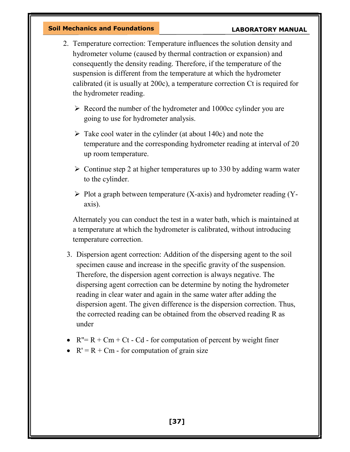- 2. Temperature correction: Temperature influences the solution density and hydrometer volume (caused by thermal contraction or expansion) and consequently the density reading. Therefore, if the temperature of the suspension is different from the temperature at which the hydrometer calibrated (it is usually at 200c), a temperature correction Ct is required for the hydrometer reading.
	- $\triangleright$  Record the number of the hydrometer and 1000cc cylinder you are going to use for hydrometer analysis.
	- $\triangleright$  Take cool water in the cylinder (at about 140c) and note the temperature and the corresponding hydrometer reading at interval of 20 up room temperature.
	- $\geq$  Continue step 2 at higher temperatures up to 330 by adding warm water to the cylinder.
	- $\triangleright$  Plot a graph between temperature (X-axis) and hydrometer reading (Yaxis).

Alternately you can conduct the test in a water bath, which is maintained at a temperature at which the hydrometer is calibrated, without introducing temperature correction.

- 3. Dispersion agent correction: Addition of the dispersing agent to the soil specimen cause and increase in the specific gravity of the suspension. Therefore, the dispersion agent correction is always negative. The dispersing agent correction can be determine by noting the hydrometer reading in clear water and again in the same water after adding the dispersion agent. The given difference is the dispersion correction. Thus, the corrected reading can be obtained from the observed reading R as under
- $R''= R + Cm + Ct Cd for computation of percent by weight finer$
- $R' = R + Cm$  for computation of grain size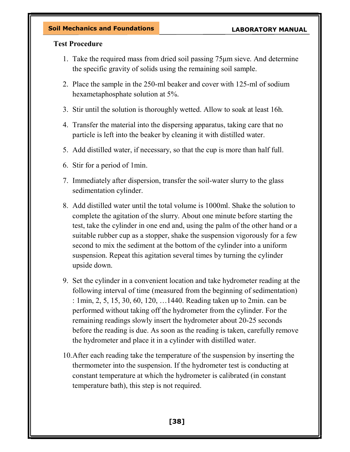## Test Procedure

- 1. Take the required mass from dried soil passing 75μm sieve. And determine the specific gravity of solids using the remaining soil sample.
- 2. Place the sample in the 250-ml beaker and cover with 125-ml of sodium hexametaphosphate solution at 5%.
- 3. Stir until the solution is thoroughly wetted. Allow to soak at least 16h.
- 4. Transfer the material into the dispersing apparatus, taking care that no particle is left into the beaker by cleaning it with distilled water.
- 5. Add distilled water, if necessary, so that the cup is more than half full.
- 6. Stir for a period of 1min.
- 7. Immediately after dispersion, transfer the soil-water slurry to the glass sedimentation cylinder.
- 8. Add distilled water until the total volume is 1000ml. Shake the solution to complete the agitation of the slurry. About one minute before starting the test, take the cylinder in one end and, using the palm of the other hand or a suitable rubber cup as a stopper, shake the suspension vigorously for a few second to mix the sediment at the bottom of the cylinder into a uniform suspension. Repeat this agitation several times by turning the cylinder upside down.
- 9. Set the cylinder in a convenient location and take hydrometer reading at the following interval of time (measured from the beginning of sedimentation) : 1min, 2, 5, 15, 30, 60, 120, …1440. Reading taken up to 2min. can be performed without taking off the hydrometer from the cylinder. For the remaining readings slowly insert the hydrometer about 20-25 seconds before the reading is due. As soon as the reading is taken, carefully remove the hydrometer and place it in a cylinder with distilled water.
- 10.After each reading take the temperature of the suspension by inserting the thermometer into the suspension. If the hydrometer test is conducting at constant temperature at which the hydrometer is calibrated (in constant temperature bath), this step is not required.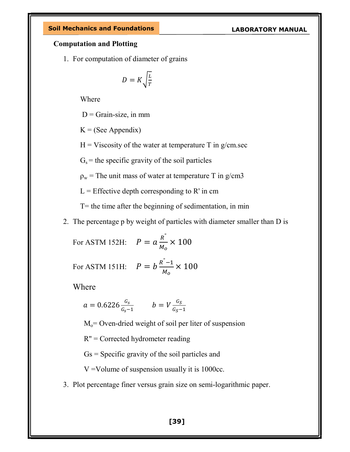### Computation and Plotting

1. For computation of diameter of grains

$$
D = K \sqrt{\frac{L}{T}}
$$

Where

 $D =$ Grain-size, in mm

 $K = (See Appendix)$ 

 $H = V$ iscosity of the water at temperature T in g/cm.sec

 $G_s$  = the specific gravity of the soil particles

 $\rho_w$  = The unit mass of water at temperature T in g/cm3

 $L =$  Effective depth corresponding to R' in cm

 $T=$  the time after the beginning of sedimentation, in min

2. The percentage p by weight of particles with diameter smaller than D is

For ASTM 152H:  $P = a \frac{R^2}{M_c}$  $\frac{1}{M_o}\times 100$ 

For ASTM 151H:  $P = b \frac{R^2 - 1}{M_0}$  $\frac{1}{M_o}\times 100$ 

Where

$$
a = 0.6226 \frac{G_s}{G_s - 1} \qquad b = V \frac{G_S}{G_S - 1}
$$

 $M<sub>o</sub>=$  Oven-dried weight of soil per liter of suspension

R'' = Corrected hydrometer reading

Gs = Specific gravity of the soil particles and

V =Volume of suspension usually it is 1000cc.

3. Plot percentage finer versus grain size on semi-logarithmic paper.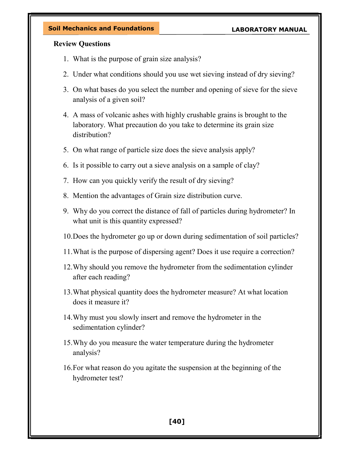### Review Questions

- 1. What is the purpose of grain size analysis?
- 2. Under what conditions should you use wet sieving instead of dry sieving?
- 3. On what bases do you select the number and opening of sieve for the sieve analysis of a given soil?
- 4. A mass of volcanic ashes with highly crushable grains is brought to the laboratory. What precaution do you take to determine its grain size distribution?
- 5. On what range of particle size does the sieve analysis apply?
- 6. Is it possible to carry out a sieve analysis on a sample of clay?
- 7. How can you quickly verify the result of dry sieving?
- 8. Mention the advantages of Grain size distribution curve.
- 9. Why do you correct the distance of fall of particles during hydrometer? In what unit is this quantity expressed?
- 10.Does the hydrometer go up or down during sedimentation of soil particles?
- 11.What is the purpose of dispersing agent? Does it use require a correction?
- 12.Why should you remove the hydrometer from the sedimentation cylinder after each reading?
- 13.What physical quantity does the hydrometer measure? At what location does it measure it?
- 14.Why must you slowly insert and remove the hydrometer in the sedimentation cylinder?
- 15.Why do you measure the water temperature during the hydrometer analysis?
- 16.For what reason do you agitate the suspension at the beginning of the hydrometer test?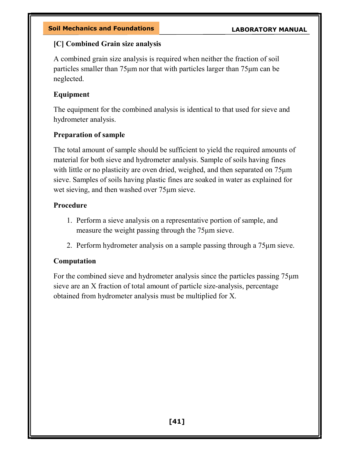# [C] Combined Grain size analysis

A combined grain size analysis is required when neither the fraction of soil particles smaller than 75μm nor that with particles larger than 75μm can be neglected.

# Equipment

The equipment for the combined analysis is identical to that used for sieve and hydrometer analysis.

# Preparation of sample

The total amount of sample should be sufficient to yield the required amounts of material for both sieve and hydrometer analysis. Sample of soils having fines with little or no plasticity are oven dried, weighed, and then separated on  $75\mu m$ sieve. Samples of soils having plastic fines are soaked in water as explained for wet sieving, and then washed over 75μm sieve.

# Procedure

- 1. Perform a sieve analysis on a representative portion of sample, and measure the weight passing through the 75μm sieve.
- 2. Perform hydrometer analysis on a sample passing through a 75μm sieve.

# Computation

For the combined sieve and hydrometer analysis since the particles passing 75μm sieve are an X fraction of total amount of particle size-analysis, percentage obtained from hydrometer analysis must be multiplied for X.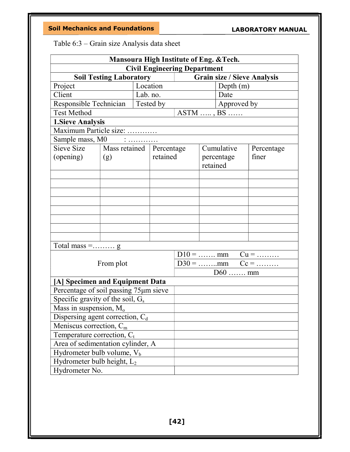Table 6:3 – Grain size Analysis data sheet

| Mansoura High Institute of Eng. & Tech. |                               |          |           |                     |          |                   |            |  |
|-----------------------------------------|-------------------------------|----------|-----------|---------------------|----------|-------------------|------------|--|
| <b>Civil Engineering Department</b>     |                               |          |           |                     |          |                   |            |  |
| <b>Grain size / Sieve Analysis</b>      |                               |          |           |                     |          |                   |            |  |
| Project                                 |                               |          | Location  |                     |          | Depth $(m)$       |            |  |
| Client                                  |                               | Lab. no. |           |                     |          | Date              |            |  |
| Responsible Technician                  |                               |          | Tested by | $\vert$ Approved by |          |                   |            |  |
| <b>Test Method</b>                      |                               |          |           |                     |          | $ASTM$ , $BS$     |            |  |
| <b>1. Sieve Analysis</b>                |                               |          |           |                     |          |                   |            |  |
| Maximum Particle size:                  |                               |          |           |                     |          |                   |            |  |
| Sample mass, M0 :                       |                               |          |           |                     |          |                   |            |  |
| Sieve Size                              | Mass retained   Percentage    |          |           |                     |          | Cumulative        | Percentage |  |
| (opening)                               | (g)                           |          | retained  |                     |          | percentage        | finer      |  |
|                                         |                               |          |           |                     | retained |                   |            |  |
|                                         |                               |          |           |                     |          |                   |            |  |
|                                         |                               |          |           |                     |          |                   |            |  |
|                                         |                               |          |           |                     |          |                   |            |  |
|                                         |                               |          |           |                     |          |                   |            |  |
|                                         |                               |          |           |                     |          |                   |            |  |
|                                         |                               |          |           |                     |          |                   |            |  |
|                                         |                               |          |           |                     |          |                   |            |  |
|                                         |                               |          |           |                     |          |                   |            |  |
| Total mass = $\ldots$ g                 |                               |          |           |                     |          |                   |            |  |
|                                         |                               |          |           |                     |          | $D10 =$ mm $Cu =$ |            |  |
|                                         | From plot                     |          |           |                     |          |                   |            |  |
|                                         |                               |          |           |                     |          | $D60$ mm          |            |  |
| [A] Specimen and Equipment Data         |                               |          |           |                     |          |                   |            |  |
| Percentage of soil passing 75µm sieve   |                               |          |           |                     |          |                   |            |  |
| Specific gravity of the soil, $G_s$     |                               |          |           |                     |          |                   |            |  |
| Mass in suspension, M <sub>o</sub>      |                               |          |           |                     |          |                   |            |  |
| Dispersing agent correction, $C_d$      |                               |          |           |                     |          |                   |            |  |
| Meniscus correction, $C_m$              |                               |          |           |                     |          |                   |            |  |
| Temperature correction, $C_t$           |                               |          |           |                     |          |                   |            |  |
| Area of sedimentation cylinder, A       |                               |          |           |                     |          |                   |            |  |
|                                         | Hydrometer bulb volume, $V_b$ |          |           |                     |          |                   |            |  |
| Hydrometer bulb height, $L_2$           |                               |          |           |                     |          |                   |            |  |
| Hydrometer No.                          |                               |          |           |                     |          |                   |            |  |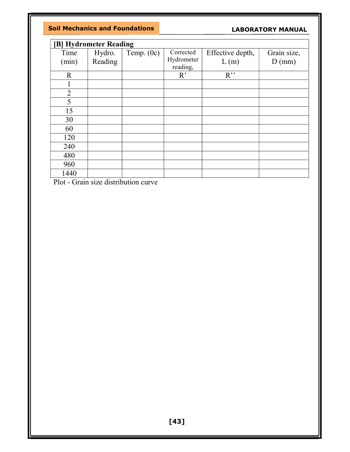|                | [B] Hydrometer Reading |              |                         |                          |                         |
|----------------|------------------------|--------------|-------------------------|--------------------------|-------------------------|
| Time<br>(min)  | Hydro.<br>Reading      | Temp. $(0c)$ | Corrected<br>Hydrometer | Effective depth,<br>L(m) | Grain size,<br>$D$ (mm) |
|                |                        |              | reading,                |                          |                         |
| $\mathbf R$    |                        |              | R                       | $R$ <sup>"</sup>         |                         |
|                |                        |              |                         |                          |                         |
| $\overline{2}$ |                        |              |                         |                          |                         |
| 5              |                        |              |                         |                          |                         |
| 15             |                        |              |                         |                          |                         |
| 30             |                        |              |                         |                          |                         |
| 60             |                        |              |                         |                          |                         |
| 120            |                        |              |                         |                          |                         |
| 240            |                        |              |                         |                          |                         |
| 480            |                        |              |                         |                          |                         |
| 960            |                        |              |                         |                          |                         |
| 1440           |                        |              |                         |                          |                         |

Plot - Grain size distribution curve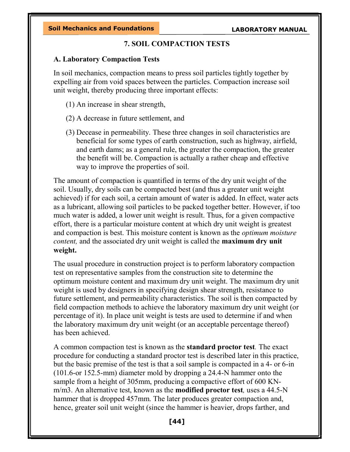## 7. SOIL COMPACTION TESTS

### A. Laboratory Compaction Tests

In soil mechanics, compaction means to press soil particles tightly together by expelling air from void spaces between the particles. Compaction increase soil unit weight, thereby producing three important effects:

- (1) An increase in shear strength,
- (2) A decrease in future settlement, and
- (3) Decease in permeability. These three changes in soil characteristics are beneficial for some types of earth construction, such as highway, airfield, and earth dams; as a general rule, the greater the compaction, the greater the benefit will be. Compaction is actually a rather cheap and effective way to improve the properties of soil.

The amount of compaction is quantified in terms of the dry unit weight of the soil. Usually, dry soils can be compacted best (and thus a greater unit weight achieved) if for each soil, a certain amount of water is added. In effect, water acts as a lubricant, allowing soil particles to be packed together better. However, if too much water is added, a lower unit weight is result. Thus, for a given compactive effort, there is a particular moisture content at which dry unit weight is greatest and compaction is best. This moisture content is known as the optimum moisture content, and the associated dry unit weight is called the maximum dry unit weight.

The usual procedure in construction project is to perform laboratory compaction test on representative samples from the construction site to determine the optimum moisture content and maximum dry unit weight. The maximum dry unit weight is used by designers in specifying design shear strength, resistance to future settlement, and permeability characteristics. The soil is then compacted by field compaction methods to achieve the laboratory maximum dry unit weight (or percentage of it). In place unit weight is tests are used to determine if and when the laboratory maximum dry unit weight (or an acceptable percentage thereof) has been achieved.

A common compaction test is known as the standard proctor test. The exact procedure for conducting a standard proctor test is described later in this practice, but the basic premise of the test is that a soil sample is compacted in a 4- or 6-in (101.6-or 152.5-mm) diameter mold by dropping a 24.4-N hammer onto the sample from a height of 305mm, producing a compactive effort of 600 KNm/m3. An alternative test, known as the **modified proctor test**, uses a 44.5-N hammer that is dropped 457mm. The later produces greater compaction and, hence, greater soil unit weight (since the hammer is heavier, drops farther, and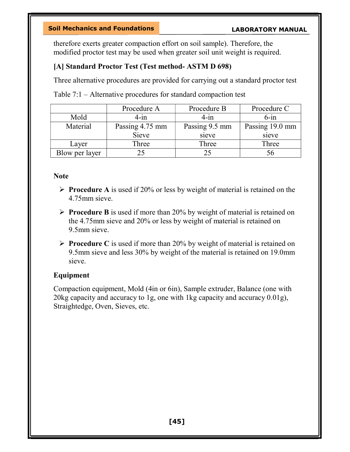therefore exerts greater compaction effort on soil sample). Therefore, the modified proctor test may be used when greater soil unit weight is required.

## [A] Standard Proctor Test (Test method- ASTM D 698)

Three alternative procedures are provided for carrying out a standard proctor test

Table 7:1 – Alternative procedures for standard compaction test

|                | Procedure A     | Procedure B    | Procedure C     |
|----------------|-----------------|----------------|-----------------|
| Mold           | $4$ -in         | $4$ -in        | $6$ -in         |
| Material       | Passing 4.75 mm | Passing 9.5 mm | Passing 19.0 mm |
|                | Sieve           | sieve          | sieve           |
| Layer          | Three           | Three          | Three           |
| Blow per layer |                 | 25             | 56              |

### **Note**

- $\triangleright$  **Procedure A** is used if 20% or less by weight of material is retained on the 4.75mm sieve.
- $\triangleright$  **Procedure B** is used if more than 20% by weight of material is retained on the 4.75mm sieve and 20% or less by weight of material is retained on 9.5mm sieve.
- $\triangleright$  **Procedure C** is used if more than 20% by weight of material is retained on 9.5mm sieve and less 30% by weight of the material is retained on 19.0mm sieve.

### Equipment

Compaction equipment, Mold (4in or 6in), Sample extruder, Balance (one with 20kg capacity and accuracy to 1g, one with 1kg capacity and accuracy 0.01g), Straightedge, Oven, Sieves, etc.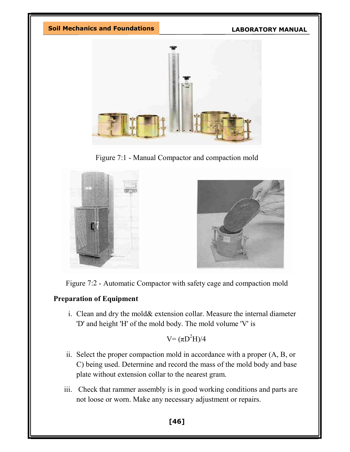

Figure 7:1 - Manual Compactor and compaction mold





# Preparation of Equipment

i. Clean and dry the mold& extension collar. Measure the internal diameter 'D' and height 'H' of the mold body. The mold volume 'V' is

# $V = (\pi D^2 H)/4$

- ii. Select the proper compaction mold in accordance with a proper (A, B, or C) being used. Determine and record the mass of the mold body and base plate without extension collar to the nearest gram.
- iii. Check that rammer assembly is in good working conditions and parts are not loose or worn. Make any necessary adjustment or repairs.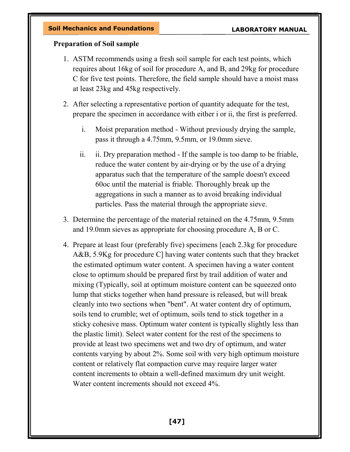## Preparation of Soil sample

- 1. ASTM recommends using a fresh soil sample for each test points, which requires about 16kg of soil for procedure A, and B, and 29kg for procedure C for five test points. Therefore, the field sample should have a moist mass at least 23kg and 45kg respectively.
- 2. After selecting a representative portion of quantity adequate for the test, prepare the specimen in accordance with either i or ii, the first is preferred.
	- i. Moist preparation method Without previously drying the sample, pass it through a 4.75mm, 9.5mm, or 19.0mm sieve.
	- ii. ii. Dry preparation method If the sample is too damp to be friable, reduce the water content by air-drying or by the use of a drying apparatus such that the temperature of the sample doesn't exceed 60oc until the material is friable. Thoroughly break up the aggregations in such a manner as to avoid breaking individual particles. Pass the material through the appropriate sieve.
- 3. Determine the percentage of the material retained on the 4.75mm, 9.5mm and 19.0mm sieves as appropriate for choosing procedure A, B or C.
- 4. Prepare at least four (preferably five) specimens [each 2.3kg for procedure A&B, 5.9Kg for procedure C] having water contents such that they bracket the estimated optimum water content. A specimen having a water content close to optimum should be prepared first by trail addition of water and mixing (Typically, soil at optimum moisture content can be squeezed onto lump that sticks together when hand pressure is released, but will break cleanly into two sections when "bent". At water content dry of optimum, soils tend to crumble; wet of optimum, soils tend to stick together in a sticky cohesive mass. Optimum water content is typically slightly less than the plastic limit). Select water content for the rest of the specimens to provide at least two specimens wet and two dry of optimum, and water contents varying by about 2%. Some soil with very high optimum moisture content or relatively flat compaction curve may require larger water content increments to obtain a well-defined maximum dry unit weight. Water content increments should not exceed 4%.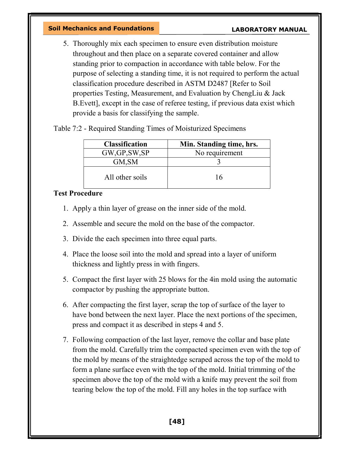5. Thoroughly mix each specimen to ensure even distribution moisture throughout and then place on a separate covered container and allow standing prior to compaction in accordance with table below. For the purpose of selecting a standing time, it is not required to perform the actual classification procedure described in ASTM D2487 [Refer to Soil properties Testing, Measurement, and Evaluation by ChengLiu & Jack B.Evett], except in the case of referee testing, if previous data exist which provide a basis for classifying the sample.

Table 7:2 - Required Standing Times of Moisturized Specimens

| <b>Classification</b> | Min. Standing time, hrs. |
|-----------------------|--------------------------|
| GW, GP, SW, SP        | No requirement           |
| GM, SM                |                          |
| All other soils       | 16                       |

### Test Procedure

- 1. Apply a thin layer of grease on the inner side of the mold.
- 2. Assemble and secure the mold on the base of the compactor.
- 3. Divide the each specimen into three equal parts.
- 4. Place the loose soil into the mold and spread into a layer of uniform thickness and lightly press in with fingers.
- 5. Compact the first layer with 25 blows for the 4in mold using the automatic compactor by pushing the appropriate button.
- 6. After compacting the first layer, scrap the top of surface of the layer to have bond between the next layer. Place the next portions of the specimen, press and compact it as described in steps 4 and 5.
- 7. Following compaction of the last layer, remove the collar and base plate from the mold. Carefully trim the compacted specimen even with the top of the mold by means of the straightedge scraped across the top of the mold to form a plane surface even with the top of the mold. Initial trimming of the specimen above the top of the mold with a knife may prevent the soil from tearing below the top of the mold. Fill any holes in the top surface with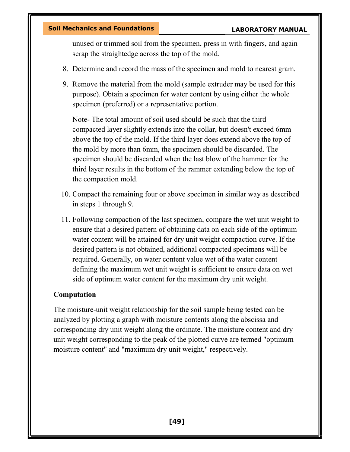unused or trimmed soil from the specimen, press in with fingers, and again scrap the straightedge across the top of the mold.

- 8. Determine and record the mass of the specimen and mold to nearest gram.
- 9. Remove the material from the mold (sample extruder may be used for this purpose). Obtain a specimen for water content by using either the whole specimen (preferred) or a representative portion.

Note- The total amount of soil used should be such that the third compacted layer slightly extends into the collar, but doesn't exceed 6mm above the top of the mold. If the third layer does extend above the top of the mold by more than 6mm, the specimen should be discarded. The specimen should be discarded when the last blow of the hammer for the third layer results in the bottom of the rammer extending below the top of the compaction mold.

- 10. Compact the remaining four or above specimen in similar way as described in steps 1 through 9.
- 11. Following compaction of the last specimen, compare the wet unit weight to ensure that a desired pattern of obtaining data on each side of the optimum water content will be attained for dry unit weight compaction curve. If the desired pattern is not obtained, additional compacted specimens will be required. Generally, on water content value wet of the water content defining the maximum wet unit weight is sufficient to ensure data on wet side of optimum water content for the maximum dry unit weight.

### Computation

The moisture-unit weight relationship for the soil sample being tested can be analyzed by plotting a graph with moisture contents along the abscissa and corresponding dry unit weight along the ordinate. The moisture content and dry unit weight corresponding to the peak of the plotted curve are termed "optimum moisture content" and "maximum dry unit weight," respectively.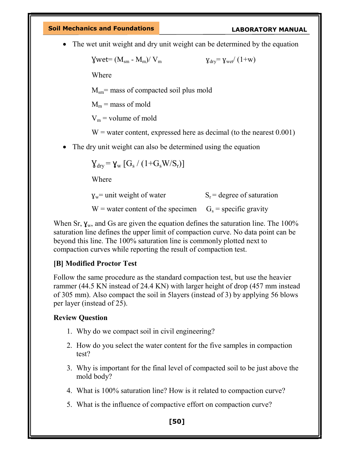The wet unit weight and dry unit weight can be determined by the equation

 $\text{Wwet} = (M_{\text{sm}} - M_{\text{m}})/V_{\text{m}}$   $\text{V}_{\text{div}} = \text{V}_{\text{wet}}/(1+\text{w})$ 

Where

 $M<sub>sm</sub>$  = mass of compacted soil plus mold

 $M_m$  = mass of mold

 $V_m$  = volume of mold

 $W =$  water content, expressed here as decimal (to the nearest 0.001)

The dry unit weight can also be determined using the equation

$$
\gamma_{dry}\!=\!\gamma_w\left[G_s\,/\,(1\!+\!G_sW\!/\!S_r)\right]
$$

Where

 $y_w$  = unit weight of water  $S_r$  = degree of saturation

 $W =$  water content of the specimen  $G_s =$  specific gravity

When Sr,  $\gamma_w$ , and Gs are given the equation defines the saturation line. The 100% saturation line defines the upper limit of compaction curve. No data point can be beyond this line. The 100% saturation line is commonly plotted next to compaction curves while reporting the result of compaction test.

### [B] Modified Proctor Test

Follow the same procedure as the standard compaction test, but use the heavier rammer (44.5 KN instead of 24.4 KN) with larger height of drop (457 mm instead of 305 mm). Also compact the soil in 5layers (instead of 3) by applying 56 blows per layer (instead of 25).

### Review Question

- 1. Why do we compact soil in civil engineering?
- 2. How do you select the water content for the five samples in compaction test?
- 3. Why is important for the final level of compacted soil to be just above the mold body?
- 4. What is 100% saturation line? How is it related to compaction curve?
- 5. What is the influence of compactive effort on compaction curve?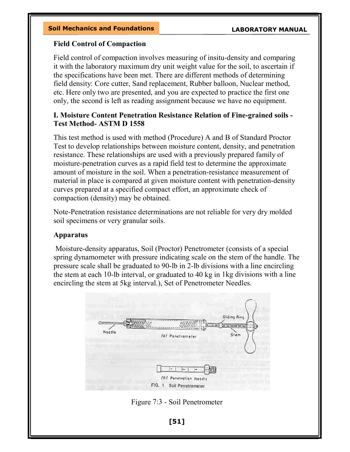### Field Control of Compaction

Field control of compaction involves measuring of insitu-density and comparing it with the laboratory maximum dry unit weight value for the soil, to ascertain if the specifications have been met. There are different methods of determining field density: Core cutter, Sand replacement, Rubber balloon, Nuclear method, etc. Here only two are presented, and you are expected to practice the first one only, the second is left as reading assignment because we have no equipment.

## I. Moisture Content Penetration Resistance Relation of Fine-grained soils - Test Method- ASTM D 1558

This test method is used with method (Procedure) A and B of Standard Proctor Test to develop relationships between moisture content, density, and penetration resistance. These relationships are used with a previously prepared family of moisture-penetration curves as a rapid field test to determine the approximate amount of moisture in the soil. When a penetration-resistance measurement of material in place is compared at given moisture content with penetration-density curves prepared at a specified compact effort, an approximate check of compaction (density) may be obtained.

Note-Penetration resistance determinations are not reliable for very dry molded soil specimens or very granular soils.

# Apparatus

 Moisture-density apparatus, Soil (Proctor) Penetrometer (consists of a special spring dynamometer with pressure indicating scale on the stem of the handle. The pressure scale shall be graduated to 90-lb in 2-lb divisions with a line encircling the stem at each 10-lb interval, or graduated to 40 kg in 1kg divisions with a line encircling the stem at 5kg interval.), Set of Penetrometer Needles.



Figure 7:3 - Soil Penetrometer

[51]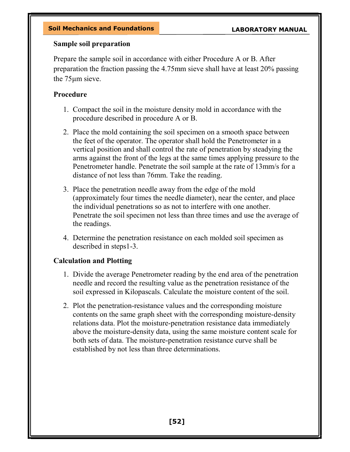## Sample soil preparation

Prepare the sample soil in accordance with either Procedure A or B. After preparation the fraction passing the 4.75mm sieve shall have at least 20% passing the 75μm sieve.

# Procedure

- 1. Compact the soil in the moisture density mold in accordance with the procedure described in procedure A or B.
- 2. Place the mold containing the soil specimen on a smooth space between the feet of the operator. The operator shall hold the Penetrometer in a vertical position and shall control the rate of penetration by steadying the arms against the front of the legs at the same times applying pressure to the Penetrometer handle. Penetrate the soil sample at the rate of 13mm/s for a distance of not less than 76mm. Take the reading.
- 3. Place the penetration needle away from the edge of the mold (approximately four times the needle diameter), near the center, and place the individual penetrations so as not to interfere with one another. Penetrate the soil specimen not less than three times and use the average of the readings.
- 4. Determine the penetration resistance on each molded soil specimen as described in steps1-3.

# Calculation and Plotting

- 1. Divide the average Penetrometer reading by the end area of the penetration needle and record the resulting value as the penetration resistance of the soil expressed in Kilopascals. Calculate the moisture content of the soil.
- 2. Plot the penetration-resistance values and the corresponding moisture contents on the same graph sheet with the corresponding moisture-density relations data. Plot the moisture-penetration resistance data immediately above the moisture-density data, using the same moisture content scale for both sets of data. The moisture-penetration resistance curve shall be established by not less than three determinations.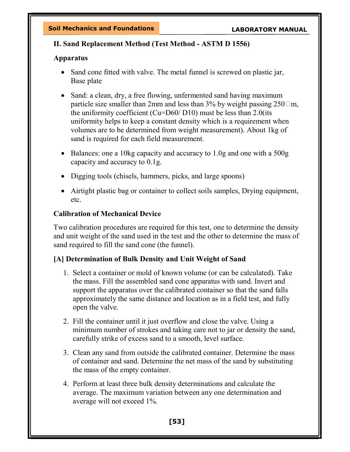# II. Sand Replacement Method (Test Method - ASTM D 1556)

# Apparatus

- Sand cone fitted with valve. The metal funnel is screwed on plastic jar, Base plate
- Sand: a clean, dry, a free flowing, unfermented sand having maximum particle size smaller than 2mm and less than 3% by weight passing  $250 \square m$ , the uniformity coefficient (Cu=D60/ D10) must be less than 2.0(its uniformity helps to keep a constant density which is a requirement when volumes are to be determined from weight measurement). About 1kg of sand is required for each field measurement.
- Balances: one a 10kg capacity and accuracy to 1.0g and one with a 500g capacity and accuracy to 0.1g.
- Digging tools (chisels, hammers, picks, and large spoons)
- Airtight plastic bag or container to collect soils samples, Drying equipment, etc.

# Calibration of Mechanical Device

Two calibration procedures are required for this test, one to determine the density and unit weight of the sand used in the test and the other to determine the mass of sand required to fill the sand cone (the funnel).

# [A] Determination of Bulk Density and Unit Weight of Sand

- 1. Select a container or mold of known volume (or can be calculated). Take the mass. Fill the assembled sand cone apparatus with sand. Invert and support the apparatus over the calibrated container so that the sand falls approximately the same distance and location as in a field test, and fully open the valve.
- 2. Fill the container until it just overflow and close the valve. Using a minimum number of strokes and taking care not to jar or density the sand, carefully strike of excess sand to a smooth, level surface.
- 3. Clean any sand from outside the calibrated container. Determine the mass of container and sand. Determine the net mass of the sand by substituting the mass of the empty container.
- 4. Perform at least three bulk density determinations and calculate the average. The maximum variation between any one determination and average will not exceed 1%.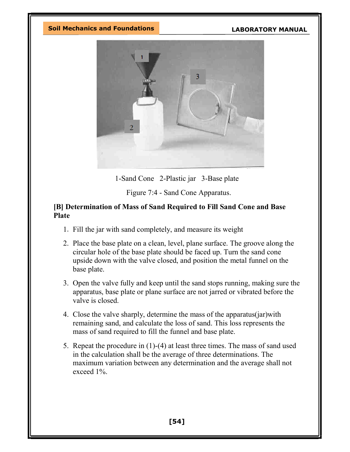

1-Sand Cone 2-Plastic jar 3-Base plate

Figure 7:4 - Sand Cone Apparatus.

### [B] Determination of Mass of Sand Required to Fill Sand Cone and Base Plate

- 1. Fill the jar with sand completely, and measure its weight
- 2. Place the base plate on a clean, level, plane surface. The groove along the circular hole of the base plate should be faced up. Turn the sand cone upside down with the valve closed, and position the metal funnel on the base plate.
- 3. Open the valve fully and keep until the sand stops running, making sure the apparatus, base plate or plane surface are not jarred or vibrated before the valve is closed.
- 4. Close the valve sharply, determine the mass of the apparatus(jar)with remaining sand, and calculate the loss of sand. This loss represents the mass of sand required to fill the funnel and base plate.
- 5. Repeat the procedure in (1)-(4) at least three times. The mass of sand used in the calculation shall be the average of three determinations. The maximum variation between any determination and the average shall not exceed 1%.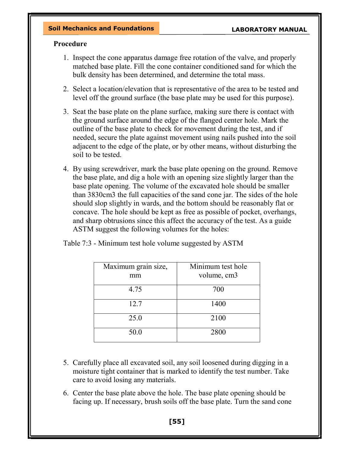### Procedure

- 1. Inspect the cone apparatus damage free rotation of the valve, and properly matched base plate. Fill the cone container conditioned sand for which the bulk density has been determined, and determine the total mass.
- 2. Select a location/elevation that is representative of the area to be tested and level off the ground surface (the base plate may be used for this purpose).
- 3. Seat the base plate on the plane surface, making sure there is contact with the ground surface around the edge of the flanged center hole. Mark the outline of the base plate to check for movement during the test, and if needed, secure the plate against movement using nails pushed into the soil adjacent to the edge of the plate, or by other means, without disturbing the soil to be tested.
- 4. By using screwdriver, mark the base plate opening on the ground. Remove the base plate, and dig a hole with an opening size slightly larger than the base plate opening. The volume of the excavated hole should be smaller than 3830cm3 the full capacities of the sand cone jar. The sides of the hole should slop slightly in wards, and the bottom should be reasonably flat or concave. The hole should be kept as free as possible of pocket, overhangs, and sharp obtrusions since this affect the accuracy of the test. As a guide ASTM suggest the following volumes for the holes:

| Maximum grain size,<br>mm | Minimum test hole<br>volume, cm3 |
|---------------------------|----------------------------------|
| 4.75                      | 700                              |
| 12.7                      | 1400                             |
| 25.0                      | 2100                             |
| 50.0                      | 2800                             |

Table 7:3 - Minimum test hole volume suggested by ASTM

- 5. Carefully place all excavated soil, any soil loosened during digging in a moisture tight container that is marked to identify the test number. Take care to avoid losing any materials.
- 6. Center the base plate above the hole. The base plate opening should be facing up. If necessary, brush soils off the base plate. Turn the sand cone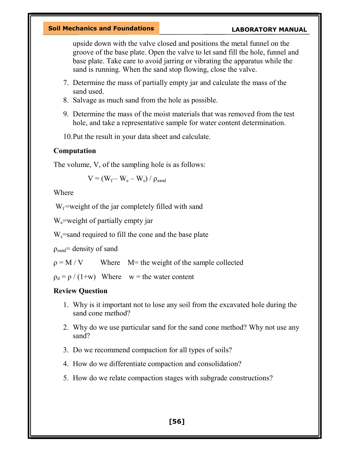upside down with the valve closed and positions the metal funnel on the groove of the base plate. Open the valve to let sand fill the hole, funnel and base plate. Take care to avoid jarring or vibrating the apparatus while the sand is running. When the sand stop flowing, close the valve.

- 7. Determine the mass of partially empty jar and calculate the mass of the sand used.
- 8. Salvage as much sand from the hole as possible.
- 9. Determine the mass of the moist materials that was removed from the test hole, and take a representative sample for water content determination.
- 10.Put the result in your data sheet and calculate.

## Computation

The volume, V, of the sampling hole is as follows:

$$
V = (W_f - W_e - W_s) / \rho_{sand}
$$

Where

 $W_f$  =weight of the jar completely filled with sand

W<sub>e</sub>=weight of partially empty jar

 $W_s$ =sand required to fill the cone and the base plate

 $\rho_{\text{sand}}$ = density of sand

 $\rho = M/V$  Where M= the weight of the sample collected

 $\rho_d = \rho / (1+w)$  Where w = the water content

# Review Question

- 1. Why is it important not to lose any soil from the excavated hole during the sand cone method?
- 2. Why do we use particular sand for the sand cone method? Why not use any sand?
- 3. Do we recommend compaction for all types of soils?
- 4. How do we differentiate compaction and consolidation?
- 5. How do we relate compaction stages with subgrade constructions?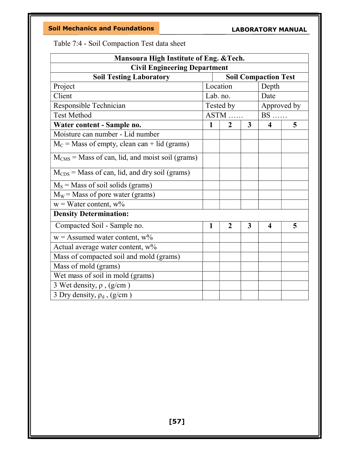Table 7:4 - Soil Compaction Test data sheet

| Mansoura High Institute of Eng. & Tech.                       |                   |                |   |                         |             |  |  |
|---------------------------------------------------------------|-------------------|----------------|---|-------------------------|-------------|--|--|
| <b>Civil Engineering Department</b>                           |                   |                |   |                         |             |  |  |
| <b>Soil Testing Laboratory</b><br><b>Soil Compaction Test</b> |                   |                |   |                         |             |  |  |
| Project                                                       | Location<br>Depth |                |   |                         |             |  |  |
| Client                                                        |                   | Lab. no.       |   | Date                    |             |  |  |
| Responsible Technician                                        |                   | Tested by      |   |                         | Approved by |  |  |
| <b>Test Method</b>                                            |                   | ASTM           |   | $BS$                    |             |  |  |
| Water content - Sample no.                                    | $\mathbf{1}$      | $\overline{2}$ | 3 | $\overline{\mathbf{4}}$ | 5           |  |  |
| Moisture can number - Lid number                              |                   |                |   |                         |             |  |  |
| $M_C$ = Mass of empty, clean can + lid (grams)                |                   |                |   |                         |             |  |  |
| $MCMS$ = Mass of can, lid, and moist soil (grams)             |                   |                |   |                         |             |  |  |
| $M_{CDS}$ = Mass of can, lid, and dry soil (grams)            |                   |                |   |                         |             |  |  |
| $M_s$ = Mass of soil solids (grams)                           |                   |                |   |                         |             |  |  |
| $M_W$ = Mass of pore water (grams)                            |                   |                |   |                         |             |  |  |
| $w = Water content, w\%$                                      |                   |                |   |                         |             |  |  |
| <b>Density Determination:</b>                                 |                   |                |   |                         |             |  |  |
| Compacted Soil - Sample no.                                   | 1                 | $\overline{2}$ | 3 | $\overline{\mathbf{4}}$ | 5           |  |  |
| $w =$ Assumed water content, $w\%$                            |                   |                |   |                         |             |  |  |
| Actual average water content, w%                              |                   |                |   |                         |             |  |  |
| Mass of compacted soil and mold (grams)                       |                   |                |   |                         |             |  |  |
| Mass of mold (grams)                                          |                   |                |   |                         |             |  |  |
| Wet mass of soil in mold (grams)                              |                   |                |   |                         |             |  |  |
| 3 Wet density, $\rho$ , (g/cm)                                |                   |                |   |                         |             |  |  |
| 3 Dry density, $\rho_d$ , (g/cm)                              |                   |                |   |                         |             |  |  |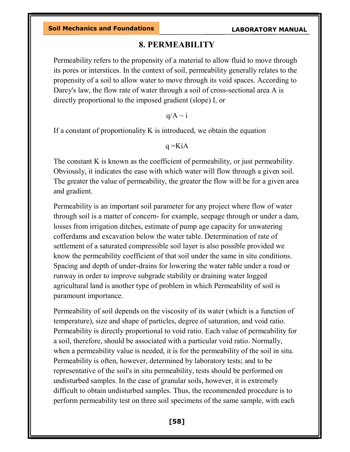# 8. PERMEABILITY

Permeability refers to the propensity of a material to allow fluid to move through its pores or interstices. In the context of soil, permeability generally relates to the propensity of a soil to allow water to move through its void spaces. According to Darcy's law, the flow rate of water through a soil of cross-sectional area A is directly proportional to the imposed gradient (slope) I, or

 $q/A \sim i$ 

If a constant of proportionality  $K$  is introduced, we obtain the equation

 $q = KiA$ 

The constant K is known as the coefficient of permeability, or just permeability. Obviously, it indicates the ease with which water will flow through a given soil. The greater the value of permeability, the greater the flow will be for a given area and gradient.

Permeability is an important soil parameter for any project where flow of water through soil is a matter of concern- for example, seepage through or under a dam, losses from irrigation ditches, estimate of pump age capacity for unwatering cofferdams and excavation below the water table. Determination of rate of settlement of a saturated compressible soil layer is also possible provided we know the permeability coefficient of that soil under the same in situ conditions. Spacing and depth of under-drains for lowering the water table under a road or runway in order to improve subgrade stability or draining water logged agricultural land is another type of problem in which Permeability of soil is paramount importance.

Permeability of soil depends on the viscosity of its water (which is a function of temperature), size and shape of particles, degree of saturation, and void ratio. Permeability is directly proportional to void ratio. Each value of permeability for a soil, therefore, should be associated with a particular void ratio. Normally, when a permeability value is needed, it is for the permeability of the soil in situ. Permeability is often, however, determined by laboratory tests; and to be representative of the soil's in situ permeability, tests should be performed on undisturbed samples. In the case of granular soils, however, it is extremely difficult to obtain undisturbed samples. Thus, the recommended procedure is to perform permeability test on three soil specimens of the same sample, with each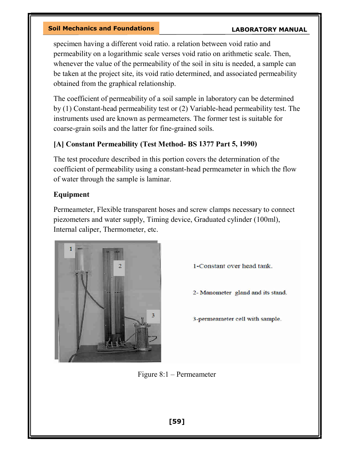specimen having a different void ratio. a relation between void ratio and permeability on a logarithmic scale verses void ratio on arithmetic scale. Then, whenever the value of the permeability of the soil in situ is needed, a sample can be taken at the project site, its void ratio determined, and associated permeability obtained from the graphical relationship.

The coefficient of permeability of a soil sample in laboratory can be determined by (1) Constant-head permeability test or (2) Variable-head permeability test. The instruments used are known as permeameters. The former test is suitable for coarse-grain soils and the latter for fine-grained soils.

# [A] Constant Permeability (Test Method- BS 1377 Part 5, 1990)

The test procedure described in this portion covers the determination of the coefficient of permeability using a constant-head permeameter in which the flow of water through the sample is laminar.

# Equipment

Permeameter, Flexible transparent hoses and screw clamps necessary to connect piezometers and water supply, Timing device, Graduated cylinder (100ml), Internal caliper, Thermometer, etc.



1-Constant over head tank.

2- Manometer gland and its stand.

3-permeameter cell with sample.

Figure 8:1 – Permeameter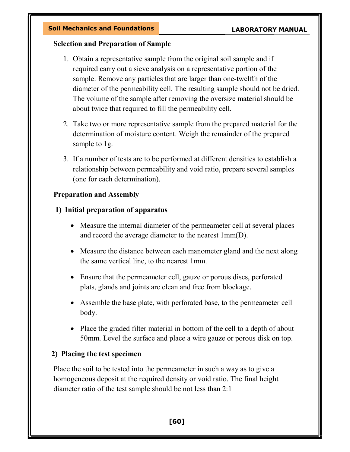## Selection and Preparation of Sample

- 1. Obtain a representative sample from the original soil sample and if required carry out a sieve analysis on a representative portion of the sample. Remove any particles that are larger than one-twelfth of the diameter of the permeability cell. The resulting sample should not be dried. The volume of the sample after removing the oversize material should be about twice that required to fill the permeability cell.
- 2. Take two or more representative sample from the prepared material for the determination of moisture content. Weigh the remainder of the prepared sample to 1g.
- 3. If a number of tests are to be performed at different densities to establish a relationship between permeability and void ratio, prepare several samples (one for each determination).

# Preparation and Assembly

# 1) Initial preparation of apparatus

- Measure the internal diameter of the permeameter cell at several places and record the average diameter to the nearest 1mm(D).
- Measure the distance between each manometer gland and the next along the same vertical line, to the nearest 1mm.
- Ensure that the permeameter cell, gauze or porous discs, perforated plats, glands and joints are clean and free from blockage.
- Assemble the base plate, with perforated base, to the permeameter cell body.
- Place the graded filter material in bottom of the cell to a depth of about 50mm. Level the surface and place a wire gauze or porous disk on top.

# 2) Placing the test specimen

Place the soil to be tested into the permeameter in such a way as to give a homogeneous deposit at the required density or void ratio. The final height diameter ratio of the test sample should be not less than 2:1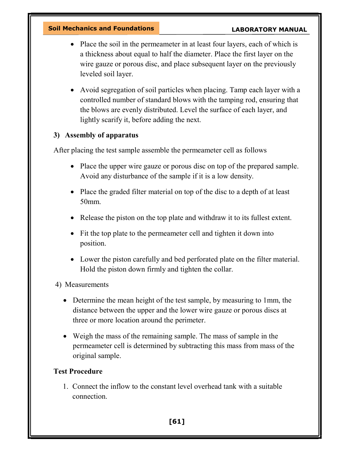- Place the soil in the permeameter in at least four layers, each of which is a thickness about equal to half the diameter. Place the first layer on the wire gauze or porous disc, and place subsequent layer on the previously leveled soil layer.
- Avoid segregation of soil particles when placing. Tamp each layer with a controlled number of standard blows with the tamping rod, ensuring that the blows are evenly distributed. Level the surface of each layer, and lightly scarify it, before adding the next.

# 3) Assembly of apparatus

After placing the test sample assemble the permeameter cell as follows

- Place the upper wire gauze or porous disc on top of the prepared sample. Avoid any disturbance of the sample if it is a low density.
- Place the graded filter material on top of the disc to a depth of at least 50mm.
- Release the piston on the top plate and withdraw it to its fullest extent.
- Fit the top plate to the permeameter cell and tighten it down into position.
- Lower the piston carefully and bed perforated plate on the filter material. Hold the piston down firmly and tighten the collar.
- 4) Measurements
	- Determine the mean height of the test sample, by measuring to 1mm, the distance between the upper and the lower wire gauze or porous discs at three or more location around the perimeter.
	- Weigh the mass of the remaining sample. The mass of sample in the permeameter cell is determined by subtracting this mass from mass of the original sample.

# Test Procedure

1. Connect the inflow to the constant level overhead tank with a suitable connection.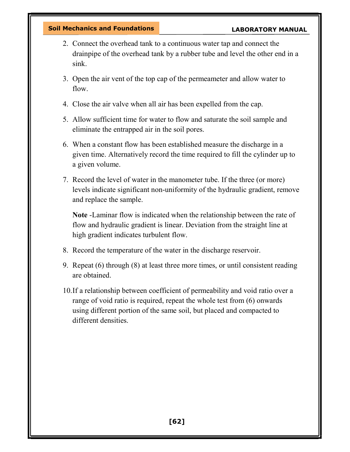- 2. Connect the overhead tank to a continuous water tap and connect the drainpipe of the overhead tank by a rubber tube and level the other end in a sink.
- 3. Open the air vent of the top cap of the permeameter and allow water to flow.
- 4. Close the air valve when all air has been expelled from the cap.
- 5. Allow sufficient time for water to flow and saturate the soil sample and eliminate the entrapped air in the soil pores.
- 6. When a constant flow has been established measure the discharge in a given time. Alternatively record the time required to fill the cylinder up to a given volume.
- 7. Record the level of water in the manometer tube. If the three (or more) levels indicate significant non-uniformity of the hydraulic gradient, remove and replace the sample.

Note -Laminar flow is indicated when the relationship between the rate of flow and hydraulic gradient is linear. Deviation from the straight line at high gradient indicates turbulent flow.

- 8. Record the temperature of the water in the discharge reservoir.
- 9. Repeat (6) through (8) at least three more times, or until consistent reading are obtained.
- 10.If a relationship between coefficient of permeability and void ratio over a range of void ratio is required, repeat the whole test from (6) onwards using different portion of the same soil, but placed and compacted to different densities.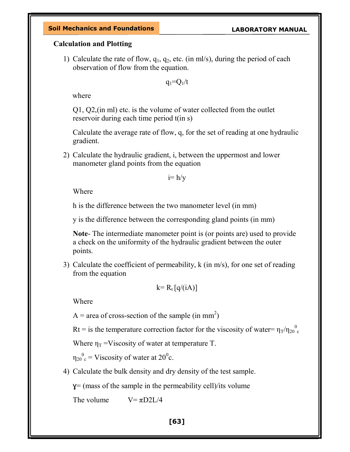### Calculation and Plotting

1) Calculate the rate of flow,  $q_1$ ,  $q_2$ , etc. (in ml/s), during the period of each observation of flow from the equation.

 $q_1 = Q_1/t$ 

where

Q1, Q2,(in ml) etc. is the volume of water collected from the outlet reservoir during each time period t(in s)

Calculate the average rate of flow, q, for the set of reading at one hydraulic gradient.

2) Calculate the hydraulic gradient, i, between the uppermost and lower manometer gland points from the equation

 $i= h/v$ 

Where

h is the difference between the two manometer level (in mm)

y is the difference between the corresponding gland points (in mm)

Note- The intermediate manometer point is (or points are) used to provide a check on the uniformity of the hydraulic gradient between the outer points.

3) Calculate the coefficient of permeability, k (in m/s), for one set of reading from the equation

$$
k=R_t [q/(iA)]
$$

Where

A = area of cross-section of the sample (in mm<sup>2</sup>)

Rt = is the temperature correction factor for the viscosity of water=  $\eta_T/\eta_{20}^0$ c

Where  $\eta_T$  =Viscosity of water at temperature T.

 $\mathfrak{y}_{20}^{\,\,\,\,\,0}$  $_{\rm c}$  = Viscosity of water at 20<sup>0</sup>c.

4) Calculate the bulk density and dry density of the test sample.

 $y = (mass of the sample in the permeability cell)/its volume$ 

The volume  $V = \pi D2L/4$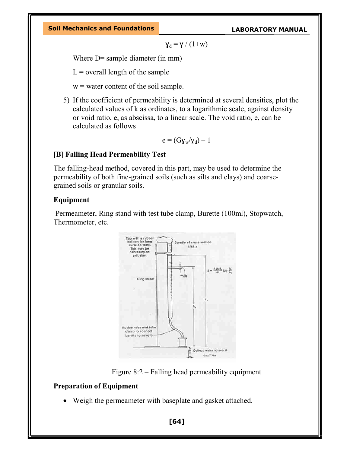$$
\gamma_d=\gamma\mathbin{/}(1{+}w)
$$

Where D= sample diameter (in mm)

 $L =$  overall length of the sample

- $w =$  water content of the soil sample.
- 5) If the coefficient of permeability is determined at several densities, plot the calculated values of k as ordinates, to a logarithmic scale, against density or void ratio, e, as abscissa, to a linear scale. The void ratio, e, can be calculated as follows

$$
e = (G\gamma_w/\gamma_d) - 1
$$

### [B] Falling Head Permeability Test

The falling-head method, covered in this part, may be used to determine the permeability of both fine-grained soils (such as silts and clays) and coarsegrained soils or granular soils.

#### Equipment

 Permeameter, Ring stand with test tube clamp, Burette (100ml), Stopwatch, Thermometer, etc.



Figure 8:2 – Falling head permeability equipment

### Preparation of Equipment

Weigh the permeameter with baseplate and gasket attached.

[64]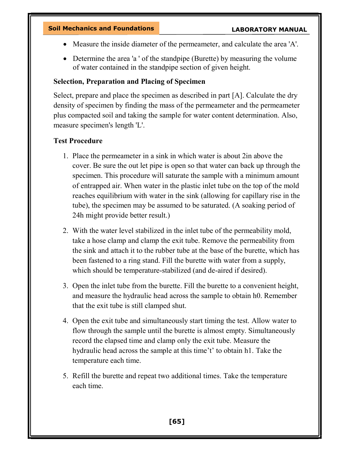- Measure the inside diameter of the permeameter, and calculate the area 'A'.
- Determine the area 'a ' of the standpipe (Burette) by measuring the volume of water contained in the standpipe section of given height.

### Selection, Preparation and Placing of Specimen

Select, prepare and place the specimen as described in part [A]. Calculate the dry density of specimen by finding the mass of the permeameter and the permeameter plus compacted soil and taking the sample for water content determination. Also, measure specimen's length 'L'.

### Test Procedure

- 1. Place the permeameter in a sink in which water is about 2in above the cover. Be sure the out let pipe is open so that water can back up through the specimen. This procedure will saturate the sample with a minimum amount of entrapped air. When water in the plastic inlet tube on the top of the mold reaches equilibrium with water in the sink (allowing for capillary rise in the tube), the specimen may be assumed to be saturated. (A soaking period of 24h might provide better result.)
- 2. With the water level stabilized in the inlet tube of the permeability mold, take a hose clamp and clamp the exit tube. Remove the permeability from the sink and attach it to the rubber tube at the base of the burette, which has been fastened to a ring stand. Fill the burette with water from a supply, which should be temperature-stabilized (and de-aired if desired).
- 3. Open the inlet tube from the burette. Fill the burette to a convenient height, and measure the hydraulic head across the sample to obtain h0. Remember that the exit tube is still clamped shut.
- 4. Open the exit tube and simultaneously start timing the test. Allow water to flow through the sample until the burette is almost empty. Simultaneously record the elapsed time and clamp only the exit tube. Measure the hydraulic head across the sample at this time't' to obtain h1. Take the temperature each time.
- 5. Refill the burette and repeat two additional times. Take the temperature each time.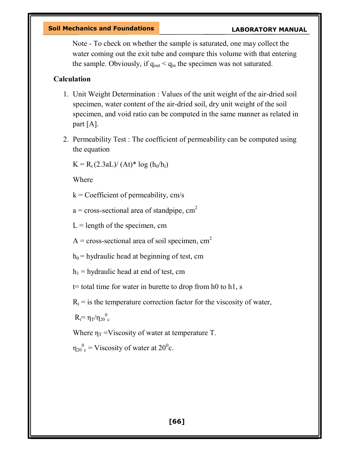Note - To check on whether the sample is saturated, one may collect the water coming out the exit tube and compare this volume with that entering the sample. Obviously, if  $q_{out} < q_{in}$  the specimen was not saturated.

### Calculation

- 1. Unit Weight Determination : Values of the unit weight of the air-dried soil specimen, water content of the air-dried soil, dry unit weight of the soil specimen, and void ratio can be computed in the same manner as related in part [A].
- 2. Permeability Test : The coefficient of permeability can be computed using the equation

 $K = R_t (2.3aL)/(At)^* \log (h_0/h_1)$ 

Where

 $k =$  Coefficient of permeability, cm/s

 $a = cross-sectional area of standing, cm<sup>2</sup>$ 

 $L =$  length of the specimen, cm

 $A = cross-sectional area of soil specimen, cm<sup>2</sup>$ 

 $h_0$  = hydraulic head at beginning of test, cm

 $h_1$  = hydraulic head at end of test, cm

t= total time for water in burette to drop from h0 to h1, s

 $R_t$  = is the temperature correction factor for the viscosity of water,

 $R_t = \eta_T/\eta_{20}^0$ c

Where  $\eta_T$  =Viscosity of water at temperature T.

 $\eta_{20}^0$ <sup>o</sup> = Viscosity of water at 20<sup>0</sup>c.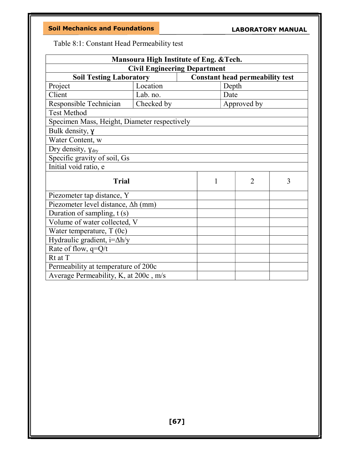### LABORATORY MANUAL

Table 8:1: Constant Head Permeability test

| Mansoura High Institute of Eng. & Tech.      |            |   |                                        |   |
|----------------------------------------------|------------|---|----------------------------------------|---|
| <b>Civil Engineering Department</b>          |            |   |                                        |   |
| <b>Soil Testing Laboratory</b>               |            |   | <b>Constant head permeability test</b> |   |
| Project                                      | Location   |   | Depth                                  |   |
| Client                                       | Lab. no.   |   | Date                                   |   |
| Responsible Technician                       | Checked by |   | Approved by                            |   |
| <b>Test Method</b>                           |            |   |                                        |   |
| Specimen Mass, Height, Diameter respectively |            |   |                                        |   |
| Bulk density, y                              |            |   |                                        |   |
| Water Content, w                             |            |   |                                        |   |
| Dry density, $y_{dry}$                       |            |   |                                        |   |
| Specific gravity of soil, Gs                 |            |   |                                        |   |
| Initial void ratio, e                        |            |   |                                        |   |
| <b>Trial</b>                                 |            | 1 | $\overline{2}$                         | 3 |
| Piezometer tap distance, Y                   |            |   |                                        |   |
| Piezometer level distance, $\Delta h$ (mm)   |            |   |                                        |   |
| Duration of sampling, t (s)                  |            |   |                                        |   |
| Volume of water collected, V                 |            |   |                                        |   |
| Water temperature, $T(0c)$                   |            |   |                                        |   |
| Hydraulic gradient, i=∆h/y                   |            |   |                                        |   |
| Rate of flow, q=Q/t                          |            |   |                                        |   |
| Rt at T                                      |            |   |                                        |   |
| Permeability at temperature of 200c          |            |   |                                        |   |
| Average Permeability, K, at 200c, m/s        |            |   |                                        |   |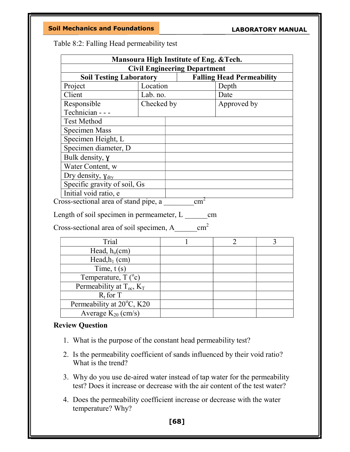| Table 8:2: Falling Head permeability test |
|-------------------------------------------|
|-------------------------------------------|

| Mansoura High Institute of Eng. & Tech.                              |            |               |                                  |   |
|----------------------------------------------------------------------|------------|---------------|----------------------------------|---|
| <b>Civil Engineering Department</b>                                  |            |               |                                  |   |
| <b>Soil Testing Laboratory</b>                                       |            |               | <b>Falling Head Permeability</b> |   |
| Project                                                              | Location   |               | Depth                            |   |
| Client                                                               | Lab. no.   |               | Date                             |   |
| Responsible                                                          | Checked by |               | Approved by                      |   |
| Technician - - -                                                     |            |               |                                  |   |
| <b>Test Method</b>                                                   |            |               |                                  |   |
| <b>Specimen Mass</b>                                                 |            |               |                                  |   |
| Specimen Height, L                                                   |            |               |                                  |   |
| Specimen diameter, D                                                 |            |               |                                  |   |
| Bulk density, y                                                      |            |               |                                  |   |
| Water Content, w                                                     |            |               |                                  |   |
| Dry density, $\gamma_{\text{dry}}$                                   |            |               |                                  |   |
| Specific gravity of soil, Gs                                         |            |               |                                  |   |
| Initial void ratio, e                                                |            |               |                                  |   |
| $Cross\text{-}sectional \text{ area of stand pipe, a}$ $\text{cm}^2$ |            |               |                                  |   |
|                                                                      |            |               |                                  |   |
| Length of soil specimen in permeameter, L                            |            | cm            |                                  |   |
| Cross-sectional area of soil specimen, A                             |            | $\text{cm}^2$ |                                  |   |
| Trial                                                                |            |               | $\overline{2}$                   | 3 |
| Head, $h_0$ (cm)                                                     |            |               |                                  |   |
| Head, $h_1$ (cm)                                                     |            |               |                                  |   |
| Time, $t(s)$                                                         |            |               |                                  |   |
| Temperature, $T({}^{\circ}c)$                                        |            |               |                                  |   |
| Permeability at $T_{oc}$ , $K_T$                                     |            |               |                                  |   |
| $R_t$ for T                                                          |            |               |                                  |   |

### Review Question

Permeability at 20°C, K20 Average  $K_{20}$  (cm/s)

- 1. What is the purpose of the constant head permeability test?
- 2. Is the permeability coefficient of sands influenced by their void ratio? What is the trend?
- 3. Why do you use de-aired water instead of tap water for the permeability test? Does it increase or decrease with the air content of the test water?
- 4. Does the permeability coefficient increase or decrease with the water temperature? Why?

[68]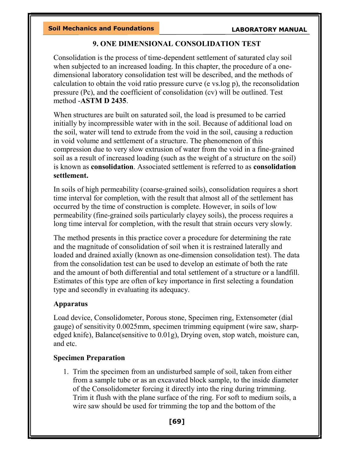### 9. ONE DIMENSIONAL CONSOLIDATION TEST

Consolidation is the process of time-dependent settlement of saturated clay soil when subjected to an increased loading. In this chapter, the procedure of a onedimensional laboratory consolidation test will be described, and the methods of calculation to obtain the void ratio pressure curve (e vs.log p), the reconsolidation pressure (Pc), and the coefficient of consolidation (cv) will be outlined. Test method -ASTM D 2435.

When structures are built on saturated soil, the load is presumed to be carried initially by incompressible water with in the soil. Because of additional load on the soil, water will tend to extrude from the void in the soil, causing a reduction in void volume and settlement of a structure. The phenomenon of this compression due to very slow extrusion of water from the void in a fine-grained soil as a result of increased loading (such as the weight of a structure on the soil) is known as consolidation. Associated settlement is referred to as consolidation settlement.

In soils of high permeability (coarse-grained soils), consolidation requires a short time interval for completion, with the result that almost all of the settlement has occurred by the time of construction is complete. However, in soils of low permeability (fine-grained soils particularly clayey soils), the process requires a long time interval for completion, with the result that strain occurs very slowly.

The method presents in this practice cover a procedure for determining the rate and the magnitude of consolidation of soil when it is restrained laterally and loaded and drained axially (known as one-dimension consolidation test). The data from the consolidation test can be used to develop an estimate of both the rate and the amount of both differential and total settlement of a structure or a landfill. Estimates of this type are often of key importance in first selecting a foundation type and secondly in evaluating its adequacy.

### Apparatus

Load device, Consolidometer, Porous stone, Specimen ring, Extensometer (dial gauge) of sensitivity 0.0025mm, specimen trimming equipment (wire saw, sharpedged knife), Balance(sensitive to 0.01g), Drying oven, stop watch, moisture can, and etc.

# Specimen Preparation

1. Trim the specimen from an undisturbed sample of soil, taken from either from a sample tube or as an excavated block sample, to the inside diameter of the Consolidometer forcing it directly into the ring during trimming. Trim it flush with the plane surface of the ring. For soft to medium soils, a wire saw should be used for trimming the top and the bottom of the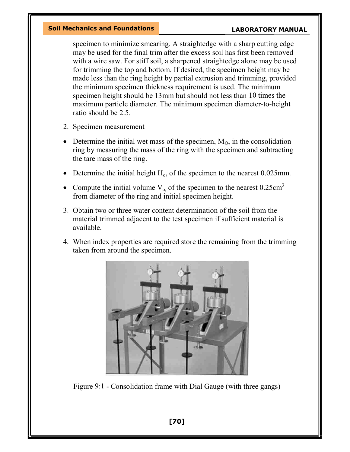specimen to minimize smearing. A straightedge with a sharp cutting edge may be used for the final trim after the excess soil has first been removed with a wire saw. For stiff soil, a sharpened straightedge alone may be used for trimming the top and bottom. If desired, the specimen height may be made less than the ring height by partial extrusion and trimming, provided the minimum specimen thickness requirement is used. The minimum specimen height should be 13mm but should not less than 10 times the maximum particle diameter. The minimum specimen diameter-to-height ratio should be 2.5.

- 2. Specimen measurement
- Determine the initial wet mass of the specimen,  $M<sub>0</sub>$ , in the consolidation ring by measuring the mass of the ring with the specimen and subtracting the tare mass of the ring.
- Determine the initial height  $H_0$ , of the specimen to the nearest 0.025mm.
- Compute the initial volume  $V_{o}$ , of the specimen to the nearest 0.25cm<sup>3</sup> from diameter of the ring and initial specimen height.
- 3. Obtain two or three water content determination of the soil from the material trimmed adjacent to the test specimen if sufficient material is available.
- 4. When index properties are required store the remaining from the trimming taken from around the specimen.



Figure 9:1 - Consolidation frame with Dial Gauge (with three gangs)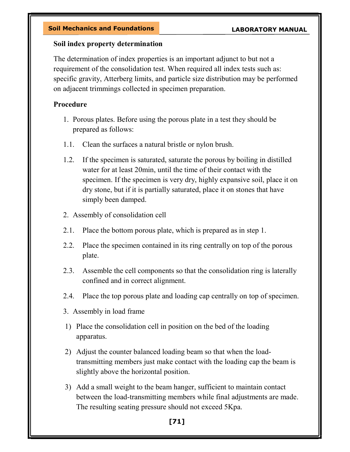#### Soil index property determination

The determination of index properties is an important adjunct to but not a requirement of the consolidation test. When required all index tests such as: specific gravity, Atterberg limits, and particle size distribution may be performed on adjacent trimmings collected in specimen preparation.

### Procedure

- 1. Porous plates. Before using the porous plate in a test they should be prepared as follows:
- 1.1. Clean the surfaces a natural bristle or nylon brush.
- 1.2. If the specimen is saturated, saturate the porous by boiling in distilled water for at least 20min, until the time of their contact with the specimen. If the specimen is very dry, highly expansive soil, place it on dry stone, but if it is partially saturated, place it on stones that have simply been damped.
- 2. Assembly of consolidation cell
- 2.1. Place the bottom porous plate, which is prepared as in step 1.
- 2.2. Place the specimen contained in its ring centrally on top of the porous plate.
- 2.3. Assemble the cell components so that the consolidation ring is laterally confined and in correct alignment.
- 2.4. Place the top porous plate and loading cap centrally on top of specimen.
- 3. Assembly in load frame
- 1) Place the consolidation cell in position on the bed of the loading apparatus.
- 2) Adjust the counter balanced loading beam so that when the loadtransmitting members just make contact with the loading cap the beam is slightly above the horizontal position.
- 3) Add a small weight to the beam hanger, sufficient to maintain contact between the load-transmitting members while final adjustments are made. The resulting seating pressure should not exceed 5Kpa.

# [71]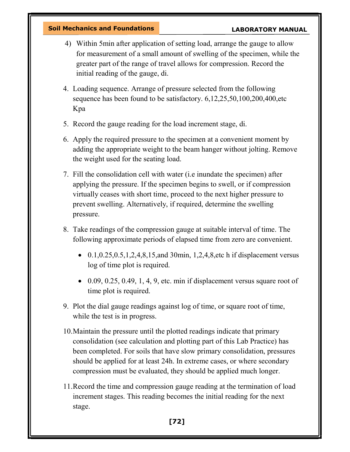- 4) Within 5min after application of setting load, arrange the gauge to allow for measurement of a small amount of swelling of the specimen, while the greater part of the range of travel allows for compression. Record the initial reading of the gauge, di.
- 4. Loading sequence. Arrange of pressure selected from the following sequence has been found to be satisfactory. 6,12,25,50,100,200,400,etc Kpa
- 5. Record the gauge reading for the load increment stage, di.
- 6. Apply the required pressure to the specimen at a convenient moment by adding the appropriate weight to the beam hanger without jolting. Remove the weight used for the seating load.
- 7. Fill the consolidation cell with water (i.e inundate the specimen) after applying the pressure. If the specimen begins to swell, or if compression virtually ceases with short time, proceed to the next higher pressure to prevent swelling. Alternatively, if required, determine the swelling pressure.
- 8. Take readings of the compression gauge at suitable interval of time. The following approximate periods of elapsed time from zero are convenient.
	- $0.1, 0.25, 0.5, 1, 2, 4, 8, 15,$  and 30 min, 1, 2, 4, 8, etc h if displacement versus log of time plot is required.
	- $\bullet$  0.09, 0.25, 0.49, 1, 4, 9, etc. min if displacement versus square root of time plot is required.
- 9. Plot the dial gauge readings against log of time, or square root of time, while the test is in progress.
- 10.Maintain the pressure until the plotted readings indicate that primary consolidation (see calculation and plotting part of this Lab Practice) has been completed. For soils that have slow primary consolidation, pressures should be applied for at least 24h. In extreme cases, or where secondary compression must be evaluated, they should be applied much longer.
- 11.Record the time and compression gauge reading at the termination of load increment stages. This reading becomes the initial reading for the next stage.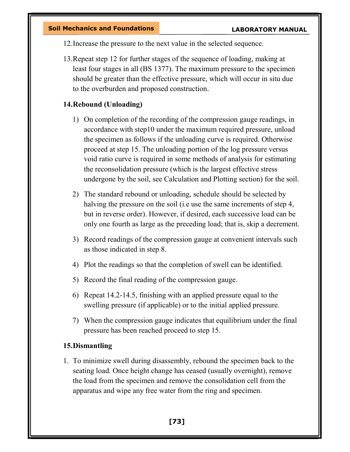12.Increase the pressure to the next value in the selected sequence.

13.Repeat step 12 for further stages of the sequence of loading, making at least four stages in all (BS 1377). The maximum pressure to the specimen should be greater than the effective pressure, which will occur in situ due to the overburden and proposed construction.

### 14.Rebound (Unloading)

- 1) On completion of the recording of the compression gauge readings, in accordance with step10 under the maximum required pressure, unload the specimen as follows if the unloading curve is required. Otherwise proceed at step 15. The unloading portion of the log pressure versus void ratio curve is required in some methods of analysis for estimating the reconsolidation pressure (which is the largest effective stress undergone by the soil, see Calculation and Plotting section) for the soil.
- 2) The standard rebound or unloading, schedule should be selected by halving the pressure on the soil (i.e use the same increments of step 4, but in reverse order). However, if desired, each successive load can be only one fourth as large as the preceding load; that is, skip a decrement.
- 3) Record readings of the compression gauge at convenient intervals such as those indicated in step 8.
- 4) Plot the readings so that the completion of swell can be identified.
- 5) Record the final reading of the compression gauge.
- 6) Repeat 14.2-14.5, finishing with an applied pressure equal to the swelling pressure (if applicable) or to the initial applied pressure.
- 7) When the compression gauge indicates that equilibrium under the final pressure has been reached proceed to step 15.

#### 15.Dismantling

1. To minimize swell during disassembly, rebound the specimen back to the seating load. Once height change has ceased (usually overnight), remove the load from the specimen and remove the consolidation cell from the apparatus and wipe any free water from the ring and specimen.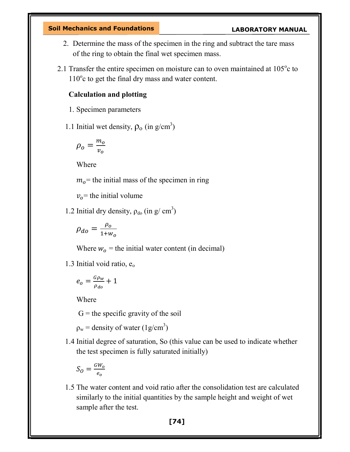- 2. Determine the mass of the specimen in the ring and subtract the tare mass of the ring to obtain the final wet specimen mass.
- 2.1 Transfer the entire specimen on moisture can to oven maintained at  $105^{\circ}$ c to 110°c to get the final dry mass and water content.

#### Calculation and plotting

- 1. Specimen parameters
- 1.1 Initial wet density,  $\rho_0$  (in g/cm<sup>3</sup>)

$$
\rho_o = \frac{m_o}{v_o}
$$

Where

 $m<sub>o</sub>$  = the initial mass of the specimen in ring

 $v<sub>o</sub>$  = the initial volume

1.2 Initial dry density,  $\rho_{\text{do}}$  (in g/ cm<sup>3</sup>)

$$
\rho_{do} = \frac{\rho_o}{1 + w_o}
$$

Where  $w_0$  = the initial water content (in decimal)

1.3 Initial void ratio,  $e_0$ 

$$
e_o = \frac{G\rho_w}{\rho_{do}} + 1
$$

Where

 $G =$  the specific gravity of the soil

 $\rho_w$  = density of water (1g/cm<sup>3</sup>)

1.4 Initial degree of saturation, So (this value can be used to indicate whether the test specimen is fully saturated initially)

$$
S_O = \frac{GW_0}{e_o}
$$

1.5 The water content and void ratio after the consolidation test are calculated similarly to the initial quantities by the sample height and weight of wet sample after the test.

[74]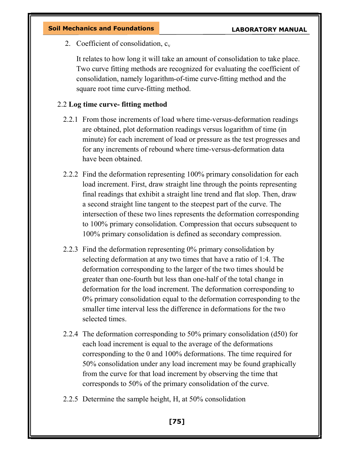2. Coefficient of consolidation,  $c_v$ 

It relates to how long it will take an amount of consolidation to take place. Two curve fitting methods are recognized for evaluating the coefficient of consolidation, namely logarithm-of-time curve-fitting method and the square root time curve-fitting method.

#### 2.2 Log time curve- fitting method

- 2.2.1 From those increments of load where time-versus-deformation readings are obtained, plot deformation readings versus logarithm of time (in minute) for each increment of load or pressure as the test progresses and for any increments of rebound where time-versus-deformation data have been obtained.
- 2.2.2 Find the deformation representing 100% primary consolidation for each load increment. First, draw straight line through the points representing final readings that exhibit a straight line trend and flat slop. Then, draw a second straight line tangent to the steepest part of the curve. The intersection of these two lines represents the deformation corresponding to 100% primary consolidation. Compression that occurs subsequent to 100% primary consolidation is defined as secondary compression.
- 2.2.3 Find the deformation representing 0% primary consolidation by selecting deformation at any two times that have a ratio of 1:4. The deformation corresponding to the larger of the two times should be greater than one-fourth but less than one-half of the total change in deformation for the load increment. The deformation corresponding to 0% primary consolidation equal to the deformation corresponding to the smaller time interval less the difference in deformations for the two selected times.
- 2.2.4 The deformation corresponding to 50% primary consolidation (d50) for each load increment is equal to the average of the deformations corresponding to the 0 and 100% deformations. The time required for 50% consolidation under any load increment may be found graphically from the curve for that load increment by observing the time that corresponds to 50% of the primary consolidation of the curve.
- 2.2.5 Determine the sample height, H, at 50% consolidation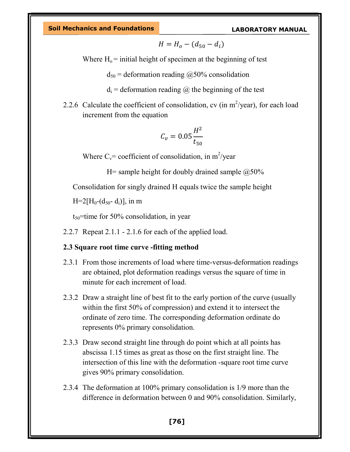$$
H=H_o-(d_{50}-d_i)
$$

Where  $H_0$  = initial height of specimen at the beginning of test

 $d_{50}$  = deformation reading  $\omega$ 50% consolidation

 $d_i$  = deformation reading  $\omega$  the beginning of the test

2.2.6 Calculate the coefficient of consolidation, cv (in  $m^2$ /year), for each load increment from the equation

$$
C_v = 0.05 \frac{H^2}{t_{50}}
$$

Where  $C_v$ = coefficient of consolidation, in m<sup>2</sup>/year

H= sample height for doubly drained sample  $@50\%$ 

Consolidation for singly drained H equals twice the sample height

 $H=2[H_0-(d_{50}-d_i)],$  in m

 $t_{50}$ =time for 50% consolidation, in year

2.2.7 Repeat 2.1.1 - 2.1.6 for each of the applied load.

#### 2.3 Square root time curve -fitting method

- 2.3.1 From those increments of load where time-versus-deformation readings are obtained, plot deformation readings versus the square of time in minute for each increment of load.
- 2.3.2 Draw a straight line of best fit to the early portion of the curve (usually within the first 50% of compression) and extend it to intersect the ordinate of zero time. The corresponding deformation ordinate do represents 0% primary consolidation.
- 2.3.3 Draw second straight line through do point which at all points has abscissa 1.15 times as great as those on the first straight line. The intersection of this line with the deformation -square root time curve gives 90% primary consolidation.
- 2.3.4 The deformation at 100% primary consolidation is 1/9 more than the difference in deformation between 0 and 90% consolidation. Similarly,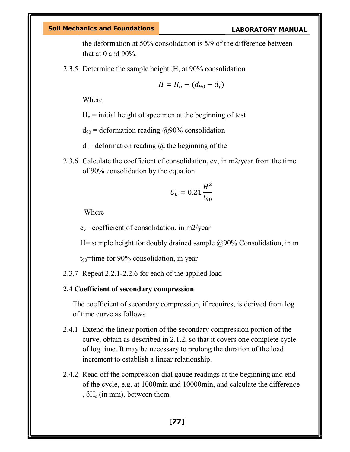the deformation at 50% consolidation is 5/9 of the difference between that at 0 and 90%.

2.3.5 Determine the sample height ,H, at 90% consolidation

$$
H=H_o-(d_{90}-d_i)
$$

Where

 $H<sub>o</sub>$  = initial height of specimen at the beginning of test

 $d_{90}$  = deformation reading @90% consolidation

 $d_i$  = deformation reading  $\omega$  the beginning of the

2.3.6 Calculate the coefficient of consolidation, cv, in m2/year from the time of 90% consolidation by the equation

$$
C_v = 0.21 \frac{H^2}{t_{90}}
$$

Where

 $c_v$ = coefficient of consolidation, in m2/year

H= sample height for doubly drained sample  $\omega$  = 0.90% Consolidation, in m

 $t_{90}$ =time for 90% consolidation, in year

2.3.7 Repeat 2.2.1-2.2.6 for each of the applied load

#### 2.4 Coefficient of secondary compression

The coefficient of secondary compression, if requires, is derived from log of time curve as follows

- 2.4.1 Extend the linear portion of the secondary compression portion of the curve, obtain as described in 2.1.2, so that it covers one complete cycle of log time. It may be necessary to prolong the duration of the load increment to establish a linear relationship.
- 2.4.2 Read off the compression dial gauge readings at the beginning and end of the cycle, e.g. at 1000min and 10000min, and calculate the difference ,  $\delta H_s$  (in mm), between them.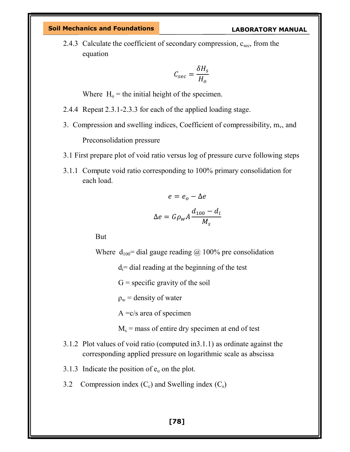2.4.3 Calculate the coefficient of secondary compression,  $c_{\text{sec}}$ , from the equation

$$
C_{sec} = \frac{\delta H_s}{H_o}
$$

Where  $H_0$  = the initial height of the specimen.

- 2.4.4 Repeat 2.3.1-2.3.3 for each of the applied loading stage.
- 3. Compression and swelling indices, Coefficient of compressibility,  $m_v$ , and Preconsolidation pressure
- 3.1 First prepare plot of void ratio versus log of pressure curve following steps
- 3.1.1 Compute void ratio corresponding to 100% primary consolidation for each load.

$$
e = e_o - \Delta e
$$

$$
\Delta e = G \rho_w A \frac{d_{100} - d_i}{M_s}
$$

But

Where  $d_{100}$  dial gauge reading @ 100% pre consolidation

 $d_i$ = dial reading at the beginning of the test

 $G =$  specific gravity of the soil

 $\rho_w$  = density of water

 $A = c/s$  area of specimen

 $M_s$  = mass of entire dry specimen at end of test

- 3.1.2 Plot values of void ratio (computed in3.1.1) as ordinate against the corresponding applied pressure on logarithmic scale as abscissa
- 3.1.3 Indicate the position of  $e_0$  on the plot.
- 3.2 Compression index  $(C_c)$  and Swelling index  $(C_s)$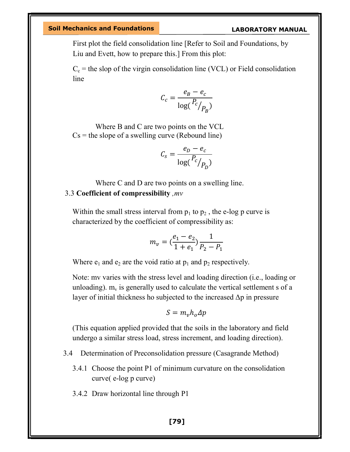First plot the field consolidation line [Refer to Soil and Foundations, by Liu and Evett, how to prepare this.] From this plot:

 $C_c$  = the slop of the virgin consolidation line (VCL) or Field consolidation line

$$
C_c = \frac{e_B - e_c}{\log(\frac{P_c}{P_B})}
$$

Where B and C are two points on the VCL  $Cs =$  the slope of a swelling curve (Rebound line)

$$
C_s = \frac{e_D - e_c}{\log(\frac{P_c}{P_D})}
$$

Where C and D are two points on a swelling line. 3.3 Coefficient of compressibility ,mv

Within the small stress interval from  $p_1$  to  $p_2$ , the e-log p curve is characterized by the coefficient of compressibility as:

$$
m_{\nu} = \left(\frac{e_1 - e_2}{1 + e_1}\right) \frac{1}{P_2 - P_1}
$$

Where  $e_1$  and  $e_2$  are the void ratio at  $p_1$  and  $p_2$  respectively.

Note: mv varies with the stress level and loading direction (i.e., loading or unloading).  $m_v$  is generally used to calculate the vertical settlement s of a layer of initial thickness ho subjected to the increased  $\Delta p$  in pressure

$$
S=m_{\nu}h_o\Delta p
$$

(This equation applied provided that the soils in the laboratory and field undergo a similar stress load, stress increment, and loading direction).

- 3.4 Determination of Preconsolidation pressure (Casagrande Method)
	- 3.4.1 Choose the point P1 of minimum curvature on the consolidation curve( e-log p curve)
	- 3.4.2 Draw horizontal line through P1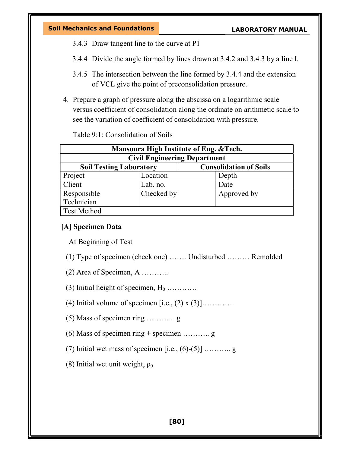- 3.4.3 Draw tangent line to the curve at P1
- 3.4.4 Divide the angle formed by lines drawn at 3.4.2 and 3.4.3 by a line l.
- 3.4.5 The intersection between the line formed by 3.4.4 and the extension of VCL give the point of preconsolidation pressure.
- 4. Prepare a graph of pressure along the abscissa on a logarithmic scale versus coefficient of consolidation along the ordinate on arithmetic scale to see the variation of coefficient of consolidation with pressure.

Table 9:1: Consolidation of Soils

| Mansoura High Institute of Eng. & Tech.                         |            |                                     |  |  |
|-----------------------------------------------------------------|------------|-------------------------------------|--|--|
|                                                                 |            | <b>Civil Engineering Department</b> |  |  |
| <b>Consolidation of Soils</b><br><b>Soil Testing Laboratory</b> |            |                                     |  |  |
| Project                                                         | Location   | Depth                               |  |  |
| Client                                                          | Lab. no.   | Date                                |  |  |
| Responsible                                                     | Checked by | Approved by                         |  |  |
| Technician                                                      |            |                                     |  |  |
| <b>Test Method</b>                                              |            |                                     |  |  |

### [A] Specimen Data

At Beginning of Test

- (1) Type of specimen (check one) ……. Undisturbed ……… Remolded
- (2) Area of Specimen, A ………..
- (3) Initial height of specimen,  $H_0$  …………
- (4) Initial volume of specimen  $[i.e., (2) \times (3)]$ ............
- (5) Mass of specimen ring ……….. g
- (6) Mass of specimen ring + specimen ……….. g
- (7) Initial wet mass of specimen [i.e.,  $(6)-(5)$ ] ……….. g
- (8) Initial wet unit weight,  $\rho_0$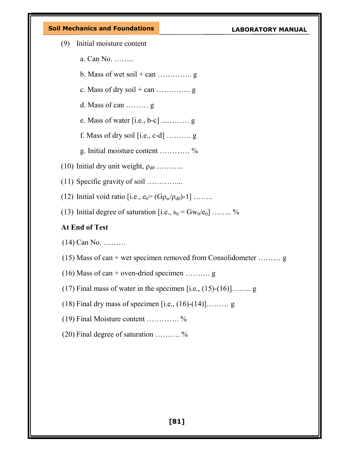- (9) Initial moisture content
	- a. Can No. ……..
	- b. Mass of wet soil  $+$  can …………... g
	- c. Mass of dry soil  $+$  can …………... g
	- d. Mass of can ……… g
	- e. Mass of water [i.e., b-c] ...……… g
	- f. Mass of dry soil  $[i.e., c-d]$  ........... g
	- g. Initial moisture content ………… %
- (10) Initial dry unit weight,  $\rho_{d0}$  ………..
- (11) Specific gravity of soil …………...
- (12) Initial void ratio [i.e.,  $e_0 = (G \rho_w / \rho_{d0})-1$ ] ……..
- (13) Initial degree of saturation [i.e.,  $s_0 = Gw_0/e_0$ ] …….. %

# At End of Test

- (14) Can No. ………
- (15) Mass of can + wet specimen removed from Consolidometer ......... g
- $(16)$  Mass of can + oven-dried specimen ............ g
- (17) Final mass of water in the specimen  $[i.e., (15)-(16)]$ …….. g
- (18) Final dry mass of specimen [i.e.,  $(16)-(14)$ ]……… g
- (19) Final Moisture content …………. %
- (20) Final degree of saturation ………. %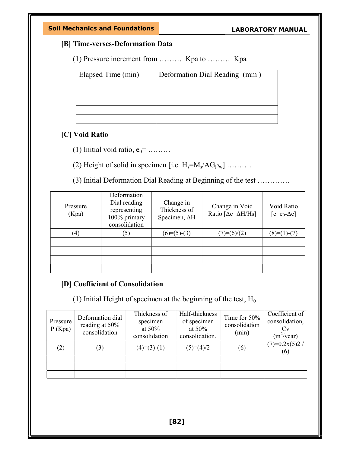### [B] Time-verses-Deformation Data

(1) Pressure increment from ……… Kpa to ……… Kpa

| Elapsed Time (min) | Deformation Dial Reading (mm) |
|--------------------|-------------------------------|
|                    |                               |
|                    |                               |
|                    |                               |
|                    |                               |
|                    |                               |

#### [C] Void Ratio

(1) Initial void ratio,  $e_0$ = ........

(2) Height of solid in specimen [i.e.  $H_s = M_s / AG \rho_w$ ] .........

(3) Initial Deformation Dial Reading at Beginning of the test ………….

| Pressure<br>(Kpa) | Deformation<br>Dial reading<br>representing<br>100% primary<br>consolidation | Change in<br>Thickness of<br>Specimen, AH | Change in Void<br>Ratio [ $\Delta$ e= $\Delta$ H/Hs] | Void Ratio<br>$[ee = e_0 - \Delta e]$ |
|-------------------|------------------------------------------------------------------------------|-------------------------------------------|------------------------------------------------------|---------------------------------------|
| (4)               | (5)                                                                          | $(6)=(5)-(3)$                             | $(7)=(6)/(2)$                                        | $(8)=(1)-(7)$                         |
|                   |                                                                              |                                           |                                                      |                                       |
|                   |                                                                              |                                           |                                                      |                                       |
|                   |                                                                              |                                           |                                                      |                                       |
|                   |                                                                              |                                           |                                                      |                                       |

# [D] Coefficient of Consolidation

(1) Initial Height of specimen at the beginning of the test,  $H_0$ 

| Pressure<br>P(Kpa) | Deformation dial<br>reading at 50%<br>consolidation | Thickness of<br>specimen<br>at $50\%$<br>consolidation | Half-thickness<br>of specimen<br>at $50\%$<br>consolidation. | Time for 50%<br>consolidation<br>(min) | Coefficient of<br>consolidation,<br>$(m^2$ /year) |
|--------------------|-----------------------------------------------------|--------------------------------------------------------|--------------------------------------------------------------|----------------------------------------|---------------------------------------------------|
| (2)                | (3)                                                 | $(4)=(3)-(1)$                                          | $(5)=(4)/2$                                                  | (6)                                    | $(7)=0.2x(5)2/$<br>(6)                            |
|                    |                                                     |                                                        |                                                              |                                        |                                                   |
|                    |                                                     |                                                        |                                                              |                                        |                                                   |
|                    |                                                     |                                                        |                                                              |                                        |                                                   |
|                    |                                                     |                                                        |                                                              |                                        |                                                   |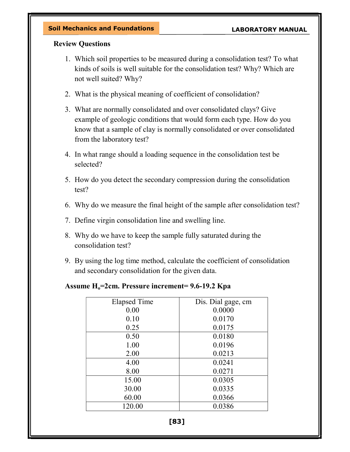#### Review Questions

- 1. Which soil properties to be measured during a consolidation test? To what kinds of soils is well suitable for the consolidation test? Why? Which are not well suited? Why?
- 2. What is the physical meaning of coefficient of consolidation?
- 3. What are normally consolidated and over consolidated clays? Give example of geologic conditions that would form each type. How do you know that a sample of clay is normally consolidated or over consolidated from the laboratory test?
- 4. In what range should a loading sequence in the consolidation test be selected?
- 5. How do you detect the secondary compression during the consolidation test?
- 6. Why do we measure the final height of the sample after consolidation test?
- 7. Define virgin consolidation line and swelling line.
- 8. Why do we have to keep the sample fully saturated during the consolidation test?
- 9. By using the log time method, calculate the coefficient of consolidation and secondary consolidation for the given data.

#### Assume  $H_0$ =2cm. Pressure increment= 9.6-19.2 Kpa

| <b>Elapsed Time</b> | Dis. Dial gage, cm |
|---------------------|--------------------|
| 0.00                | 0.0000             |
| 0.10                | 0.0170             |
| 0.25                | 0.0175             |
| 0.50                | 0.0180             |
| 1.00                | 0.0196             |
| 2.00                | 0.0213             |
| 4.00                | 0.0241             |
| 8.00                | 0.0271             |
| 15.00               | 0.0305             |
| 30.00               | 0.0335             |
| 60.00               | 0.0366             |
| 120.00              | 0.0386             |

[83]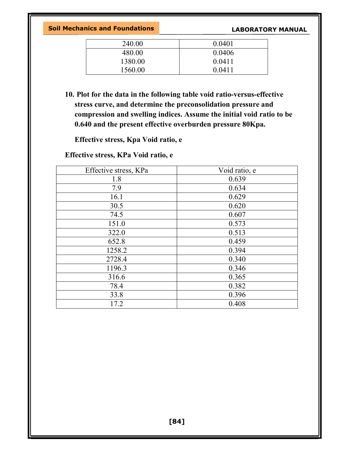| 240.00  | 0.0401 |
|---------|--------|
| 480.00  | 0.0406 |
| 1380.00 | 0.0411 |
| 1560.00 | 0.0411 |

10. Plot for the data in the following table void ratio-versus-effective stress curve, and determine the preconsolidation pressure and compression and swelling indices. Assume the initial void ratio to be 0.640 and the present effective overburden pressure 80Kpa.

Effective stress, Kpa Void ratio, e

Effective stress, KPa Void ratio, e

| Effective stress, KPa | Void ratio, e |
|-----------------------|---------------|
| 1.8                   | 0.639         |
| 7.9                   | 0.634         |
| 16.1                  | 0.629         |
| 30.5                  | 0.620         |
| 74.5                  | 0.607         |
| 151.0                 | 0.573         |
| 322.0                 | 0.513         |
| 652.8                 | 0.459         |
| 1258.2                | 0.394         |
| 2728.4                | 0.340         |
| 1196.3                | 0.346         |
| 316.6                 | 0.365         |
| 78.4                  | 0.382         |
| 33.8                  | 0.396         |
| 17.2                  | 0.408         |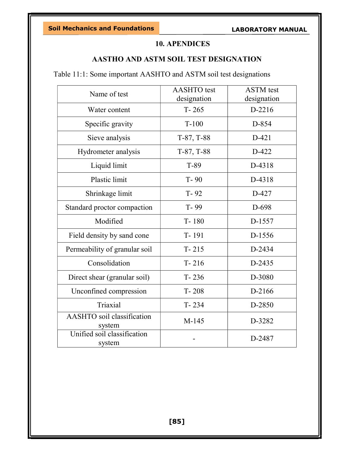# 10. APENDICES

### AASTHO AND ASTM SOIL TEST DESIGNATION

Table 11:1: Some important AASHTO and ASTM soil test designations

| Name of test                          | <b>AASHTO</b> test<br>designation | <b>ASTM</b> test<br>designation |
|---------------------------------------|-----------------------------------|---------------------------------|
| Water content                         | $T - 265$                         | D-2216                          |
| Specific gravity                      | $T-100$                           | D-854                           |
| Sieve analysis                        | $T-87, T-88$                      | $D-421$                         |
| Hydrometer analysis                   | T-87, T-88                        | D-422                           |
| Liquid limit                          | T-89                              | D-4318                          |
| <b>Plastic limit</b>                  | $T - 90$                          | D-4318                          |
| Shrinkage limit                       | $T - 92$                          | D-427                           |
| Standard proctor compaction           | T-99                              | D-698                           |
| Modified                              | $T - 180$                         | D-1557                          |
| Field density by sand cone            | T-191                             | D-1556                          |
| Permeability of granular soil         | $T - 215$                         | D-2434                          |
| Consolidation                         | $T - 216$                         | D-2435                          |
| Direct shear (granular soil)          | $T - 236$                         | D-3080                          |
| Unconfined compression                | $T - 208$                         | D-2166                          |
| Triaxial                              | $T - 234$                         | D-2850                          |
| AASHTO soil classification<br>system  | M-145                             | D-3282                          |
| Unified soil classification<br>system |                                   | D-2487                          |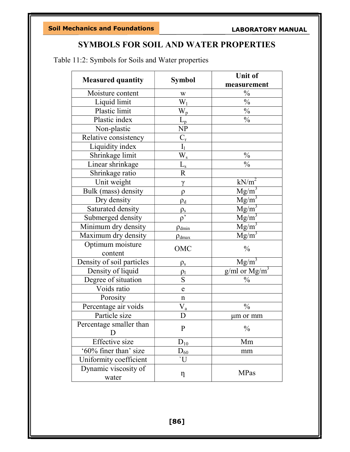# SYMBOLS FOR SOIL AND WATER PROPERTIES

Table 11:2: Symbols for Soils and Water properties

| <b>Measured quantity</b>  | <b>Symbol</b>               | <b>Unit of</b>    |
|---------------------------|-----------------------------|-------------------|
|                           |                             | measurement       |
| Moisture content          | W                           | $\frac{0}{0}$     |
| Liquid limit              | $\overline{W}_1$            | $\frac{0}{0}$     |
| Plastic limit             | $\overline{W}_p$            | $\frac{0}{0}$     |
| Plastic index             | $\bar{L}_p$                 | $\frac{0}{0}$     |
| Non-plastic               | NP                          |                   |
| Relative consistency      | $C_{r}$                     |                   |
| Liquidity index           | $\mathbf{I}_1$              |                   |
| Shrinkage limit           | $W_{\rm s}$                 | $\frac{0}{0}$     |
| Linear shrinkage          | $\bar{\underline{L}}_s$     | $\frac{0}{0}$     |
| Shrinkage ratio           | $\overline{\mathrm{R}}$     |                   |
| Unit weight               | $\gamma$                    | $kN/m^2$          |
| Bulk (mass) density       | $\rho$                      | $Mg/m^3$          |
| Dry density               | $\rho_d$                    | $Mg/m^3$          |
| Saturated density         |                             | $Mg/m^3$          |
| Submerged density         | $\frac{\rho_{\rm s}}{\rho}$ | $Mg/m^3$          |
| Minimum dry density       | $\rho_{\text{dmin}}$        | $Mg/m^3$          |
| Maximum dry density       | $\rho_{\rm dmax}$           | $Mg/m^3$          |
| Optimum moisture          | OMC                         | $\frac{0}{0}$     |
| content                   |                             |                   |
| Density of soil particles | $\rho_{\rm s}$              | $Mg/m^3$          |
| Density of liquid         | $\rho_1$                    | $g/ml$ or $Mg/m3$ |
| Degree of situation       | ${\bf S}$                   | $\frac{0}{0}$     |
| Voids ratio               | e                           |                   |
| Porosity                  | $\mathbf n$                 |                   |
| Percentage air voids      | $V_a$                       | $\frac{0}{0}$     |
| Particle size             | D                           | μm or mm          |
| Percentage smaller than   | $\mathbf P$                 | $\%$              |
|                           |                             |                   |
| Effective size            | $D_{10}$                    | Mm                |
| '60% finer than' size     | $D_{60}$                    | mm                |
| Uniformity coefficient    | `U                          |                   |
| Dynamic viscosity of      |                             | <b>MPas</b>       |
| water                     | $\eta$                      |                   |

[86]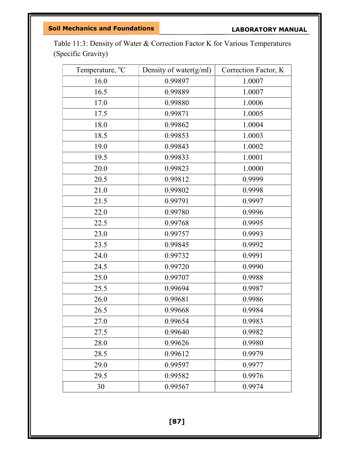Table 11:3: Density of Water & Correction Factor K for Various Temperatures (Specific Gravity)

| Temperature, <sup>o</sup> C | Density of water(g/ml) | Correction Factor, K |
|-----------------------------|------------------------|----------------------|
| 16.0                        | 0.99897                | 1.0007               |
| 16.5                        | 0.99889                | 1.0007               |
| 17.0                        | 0.99880                | 1.0006               |
| 17.5                        | 0.99871                | 1.0005               |
| 18.0                        | 0.99862                | 1.0004               |
| 18.5                        | 0.99853                | 1.0003               |
| 19.0                        | 0.99843                | 1.0002               |
| 19.5                        | 0.99833                | 1.0001               |
| 20.0                        | 0.99823                | 1.0000               |
| 20.5                        | 0.99812                | 0.9999               |
| 21.0                        | 0.99802                | 0.9998               |
| 21.5                        | 0.99791                | 0.9997               |
| 22.0                        | 0.99780                | 0.9996               |
| 22.5                        | 0.99768                | 0.9995               |
| 23.0                        | 0.99757                | 0.9993               |
| 23.5                        | 0.99845                | 0.9992               |
| 24.0                        | 0.99732                | 0.9991               |
| 24.5                        | 0.99720                | 0.9990               |
| 25.0                        | 0.99707                | 0.9988               |
| 25.5                        | 0.99694                | 0.9987               |
| 26.0                        | 0.99681                | 0.9986               |
| 26.5                        | 0.99668                | 0.9984               |
| 27.0                        | 0.99654                | 0.9983               |
| 27.5                        | 0.99640                | 0.9982               |
| 28.0                        | 0.99626                | 0.9980               |
| 28.5                        | 0.99612                | 0.9979               |
| 29.0                        | 0.99597                | 0.9977               |
| 29.5                        | 0.99582                | 0.9976               |
| 30                          | 0.99567                | 0.9974               |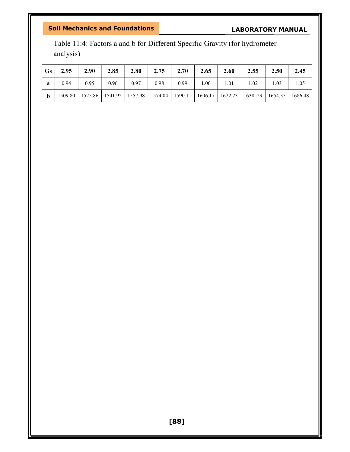# LABORATORY MANUAL

Table 11:4: Factors a and b for Different Specific Gravity (for hydrometer analysis)

| <b>Gs</b> | 2.95    | 2.90 | 2.85 | 2.80 | 2.75 | 2.70                                                                | 2.65 | 2.60 | 2.55              | 2.50 | 2.45    |
|-----------|---------|------|------|------|------|---------------------------------------------------------------------|------|------|-------------------|------|---------|
| a         | 0.94    | 0.95 | 0.96 | 0.97 | 0.98 | 0.99                                                                | .00. | 1.01 | 1.02              | .03  | 1.05    |
| b         | 1509.80 |      |      |      |      | 1525.86   1541.92   1557.98   1574.04   1590.11   1606.17   1622.23 |      |      | $1638.29$ 1654.35 |      | 1686.48 |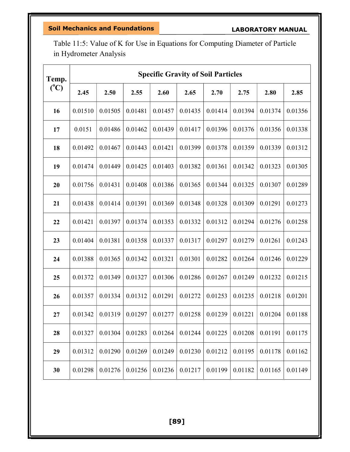Table 11:5: Value of K for Use in Equations for Computing Diameter of Particle in Hydrometer Analysis

| Temp.         | <b>Specific Gravity of Soil Particles</b> |         |         |         |         |         |         |         |         |  |  |
|---------------|-------------------------------------------|---------|---------|---------|---------|---------|---------|---------|---------|--|--|
| $(^{\circ}C)$ | 2.45                                      | 2.50    | 2.55    | 2.60    | 2.65    | 2.70    | 2.75    | 2.80    | 2.85    |  |  |
| 16            | 0.01510                                   | 0.01505 | 0.01481 | 0.01457 | 0.01435 | 0.01414 | 0.01394 | 0.01374 | 0.01356 |  |  |
| 17            | 0.0151                                    | 0.01486 | 0.01462 | 0.01439 | 0.01417 | 0.01396 | 0.01376 | 0.01356 | 0.01338 |  |  |
| 18            | 0.01492                                   | 0.01467 | 0.01443 | 0.01421 | 0.01399 | 0.01378 | 0.01359 | 0.01339 | 0.01312 |  |  |
| 19            | 0.01474                                   | 0.01449 | 0.01425 | 0.01403 | 0.01382 | 0.01361 | 0.01342 | 0.01323 | 0.01305 |  |  |
| 20            | 0.01756                                   | 0.01431 | 0.01408 | 0.01386 | 0.01365 | 0.01344 | 0.01325 | 0.01307 | 0.01289 |  |  |
| 21            | 0.01438                                   | 0.01414 | 0.01391 | 0.01369 | 0.01348 | 0.01328 | 0.01309 | 0.01291 | 0.01273 |  |  |
| 22            | 0.01421                                   | 0.01397 | 0.01374 | 0.01353 | 0.01332 | 0.01312 | 0.01294 | 0.01276 | 0.01258 |  |  |
| 23            | 0.01404                                   | 0.01381 | 0.01358 | 0.01337 | 0.01317 | 0.01297 | 0.01279 | 0.01261 | 0.01243 |  |  |
| 24            | 0.01388                                   | 0.01365 | 0.01342 | 0.01321 | 0.01301 | 0.01282 | 0.01264 | 0.01246 | 0.01229 |  |  |
| 25            | 0.01372                                   | 0.01349 | 0.01327 | 0.01306 | 0.01286 | 0.01267 | 0.01249 | 0.01232 | 0.01215 |  |  |
| 26            | 0.01357                                   | 0.01334 | 0.01312 | 0.01291 | 0.01272 | 0.01253 | 0.01235 | 0.01218 | 0.01201 |  |  |
| 27            | 0.01342                                   | 0.01319 | 0.01297 | 0.01277 | 0.01258 | 0.01239 | 0.01221 | 0.01204 | 0.01188 |  |  |
| 28            | 0.01327                                   | 0.01304 | 0.01283 | 0.01264 | 0.01244 | 0.01225 | 0.01208 | 0.01191 | 0.01175 |  |  |
| 29            | 0.01312                                   | 0.01290 | 0.01269 | 0.01249 | 0.01230 | 0.01212 | 0.01195 | 0.01178 | 0.01162 |  |  |
| 30            | 0.01298                                   | 0.01276 | 0.01256 | 0.01236 | 0.01217 | 0.01199 | 0.01182 | 0.01165 | 0.01149 |  |  |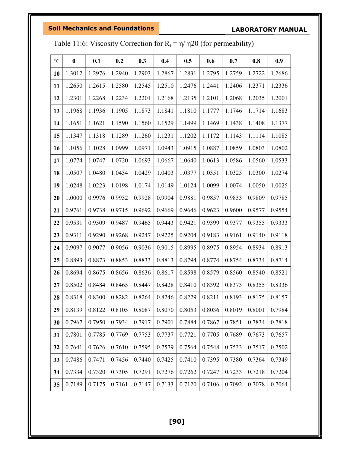LABORATORY MANUAL

| $\rm ^{o}C$ | $\bf{0}$ | 0.1    | 0.2    | 0.3    | 0.4    | 0.5    | 0.6    | 0.7    | 0.8    | 0.9    |
|-------------|----------|--------|--------|--------|--------|--------|--------|--------|--------|--------|
| 10          | 1.3012   | 1.2976 | 1.2940 | 1.2903 | 1.2867 | 1.2831 | 1.2795 | 1.2759 | 1.2722 | 1.2686 |
| 11          | 1.2650   | 1.2615 | 1.2580 | 1.2545 | 1.2510 | 1.2476 | 1.2441 | 1.2406 | 1.2371 | 1.2336 |
| 12          | 1.2301   | 1.2268 | 1.2234 | 1.2201 | 1.2168 | 1.2135 | 1.2101 | 1.2068 | 1.2035 | 1.2001 |
| 13          | 1.1968   | 1.1936 | 1.1905 | 1.1873 | 1.1841 | 1.1810 | 1.1777 | 1.1746 | 1.1714 | 1.1683 |
| 14          | 1.1651   | 1.1621 | 1.1590 | 1.1560 | 1.1529 | 1.1499 | 1.1469 | 1.1438 | 1.1408 | 1.1377 |
| 15          | 1.1347   | 1.1318 | 1.1289 | 1.1260 | 1.1231 | 1.1202 | 1.1172 | 1.1143 | 1.1114 | 1.1085 |
| <b>16</b>   | 1.1056   | 1.1028 | 1.0999 | 1.0971 | 1.0943 | 1.0915 | 1.0887 | 1.0859 | 1.0803 | 1.0802 |
| 17          | 1.0774   | 1.0747 | 1.0720 | 1.0693 | 1.0667 | 1.0640 | 1.0613 | 1.0586 | 1.0560 | 1.0533 |
| 18          | 1.0507   | 1.0480 | 1.0454 | 1.0429 | 1.0403 | 1.0377 | 1.0351 | 1.0325 | 1.0300 | 1.0274 |
| 19          | 1.0248   | 1.0223 | 1.0198 | 1.0174 | 1.0149 | 1.0124 | 1.0099 | 1.0074 | 1.0050 | 1.0025 |
| 20          | 1.0000   | 0.9976 | 0.9952 | 0.9928 | 0.9904 | 0.9881 | 0.9857 | 0.9833 | 0.9809 | 0.9785 |
| 21          | 0.9761   | 0.9738 | 0.9715 | 0.9692 | 0.9669 | 0.9646 | 0.9623 | 0.9600 | 0.9577 | 0.9554 |
| 22          | 0.9531   | 0.9509 | 0.9487 | 0.9465 | 0.9443 | 0.9421 | 0.9399 | 0.9377 | 0.9355 | 0.9333 |
| 23          | 0.9311   | 0.9290 | 0.9268 | 0.9247 | 0.9225 | 0.9204 | 0.9183 | 0.9161 | 0.9140 | 0.9118 |
| 24          | 0.9097   | 0.9077 | 0.9056 | 0.9036 | 0.9015 | 0.8995 | 0.8975 | 0.8954 | 0.8934 | 0.8913 |
| 25          | 0.8893   | 0.8873 | 0.8853 | 0.8833 | 0.8813 | 0.8794 | 0.8774 | 0.8754 | 0.8734 | 0.8714 |
| 26          | 0.8694   | 0.8675 | 0.8656 | 0.8636 | 0.8617 | 0.8598 | 0.8579 | 0.8560 | 0.8540 | 0.8521 |
| 27          | 0.8502   | 0.8484 | 0.8465 | 0.8447 | 0.8428 | 0.8410 | 0.8392 | 0.8373 | 0.8355 | 0.8336 |
| 28          | 0.8318   | 0.8300 | 0.8282 | 0.8264 | 0.8246 | 0.8229 | 0.8211 | 0.8193 | 0.8175 | 0.8157 |
| 29          | 0.8139   | 0.8122 | 0.8105 | 0.8087 | 0.8070 | 0.8053 | 0.8036 | 0.8019 | 0.8001 | 0.7984 |
| 30          | 0.7967   | 0.7950 | 0.7934 | 0.7917 | 0.7901 | 0.7884 | 0.7867 | 0.7851 | 0.7834 | 0.7818 |
| 31          | 0.7801   | 0.7785 | 0.7769 | 0.7753 | 0.7737 | 0.7721 | 0.7705 | 0.7689 | 0.7673 | 0.7657 |
| 32          | 0.7641   | 0.7626 | 0.7610 | 0.7595 | 0.7579 | 0.7564 | 0.7548 | 0.7533 | 0.7517 | 0.7502 |
| 33          | 0.7486   | 0.7471 | 0.7456 | 0.7440 | 0.7425 | 0.7410 | 0.7395 | 0.7380 | 0.7364 | 0.7349 |
| 34          | 0.7334   | 0.7320 | 0.7305 | 0.7291 | 0.7276 | 0.7262 | 0.7247 | 0.7233 | 0.7218 | 0.7204 |
| 35          | 0.7189   | 0.7175 | 0.7161 | 0.7147 | 0.7133 | 0.7120 | 0.7106 | 0.7092 | 0.7078 | 0.7064 |